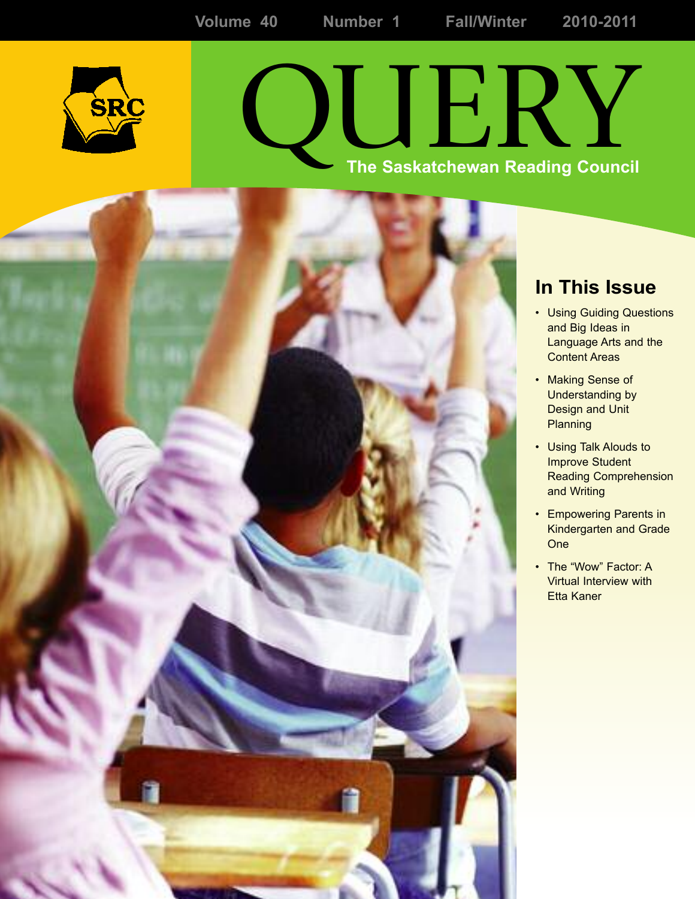

# QUERY **The Saskatchewan Reading Council**

## **In This Issue**

- Using Guiding Questions and Big Ideas in Language Arts and the Content Areas
- Making Sense of Understanding by Design and Unit **Planning**
- Using Talk Alouds to Improve Student Reading Comprehension and Writing
- Empowering Parents in Kindergarten and Grade One
- The "Wow" Factor: A Virtual Interview with Etta Kaner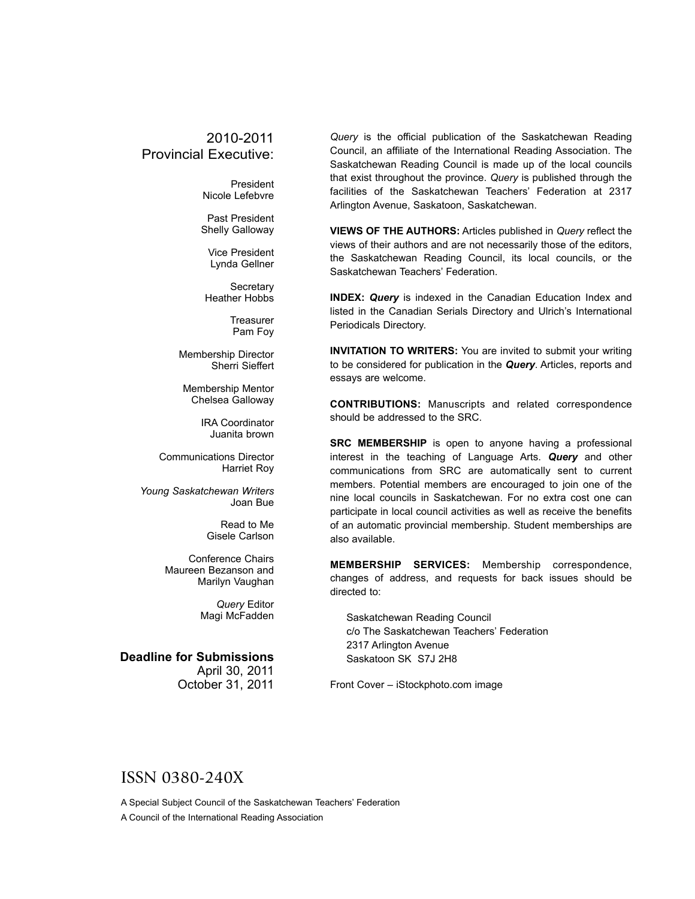#### 2010-2011 Provincial Executive:

President Nicole Lefebvre

Past President Shelly Galloway

Vice President Lynda Gellner

**Secretary** Heather Hobbs

> **Treasurer** Pam Foy

Membership Director Sherri Sieffert

Membership Mentor Chelsea Galloway

> IRA Coordinator Juanita brown

Communications Director Harriet Roy

*Young Saskatchewan Writers* Joan Bue

> Read to Me Gisele Carlson

Conference Chairs Maureen Bezanson and Marilyn Vaughan

> *Query* Editor Magi McFadden

**Deadline for Submissions** April 30, 2011 October 31, 2011

*Query* is the official publication of the Saskatchewan Reading Council, an affiliate of the International Reading Association. The Saskatchewan Reading Council is made up of the local councils that exist throughout the province. *Query* is published through the facilities of the Saskatchewan Teachers' Federation at 2317 Arlington Avenue, Saskatoon, Saskatchewan.

**VIEWS OF THE AUTHORS:** Articles published in *Query* reflect the views of their authors and are not necessarily those of the editors, the Saskatchewan Reading Council, its local councils, or the Saskatchewan Teachers' Federation.

**INDEX:** *Query* is indexed in the Canadian Education Index and listed in the Canadian Serials Directory and Ulrich's International Periodicals Directory.

**INVITATION TO WRITERS:** You are invited to submit your writing to be considered for publication in the *Query*. Articles, reports and essays are welcome.

**CONTRIBUTIONS:** Manuscripts and related correspondence should be addressed to the SRC.

**SRC MEMBERSHIP** is open to anyone having a professional interest in the teaching of Language Arts. *Query* and other communications from SRC are automatically sent to current members. Potential members are encouraged to join one of the nine local councils in Saskatchewan. For no extra cost one can participate in local council activities as well as receive the benefits of an automatic provincial membership. Student memberships are also available.

**MEMBERSHIP SERVICES:** Membership correspondence, changes of address, and requests for back issues should be directed to:

Saskatchewan Reading Council c/o The Saskatchewan Teachers' Federation 2317 Arlington Avenue Saskatoon SK S7J 2H8

Front Cover – iStockphoto.com image

#### ISSN 0380-240X

A Special Subject Council of the Saskatchewan Teachers' Federation A Council of the International Reading Association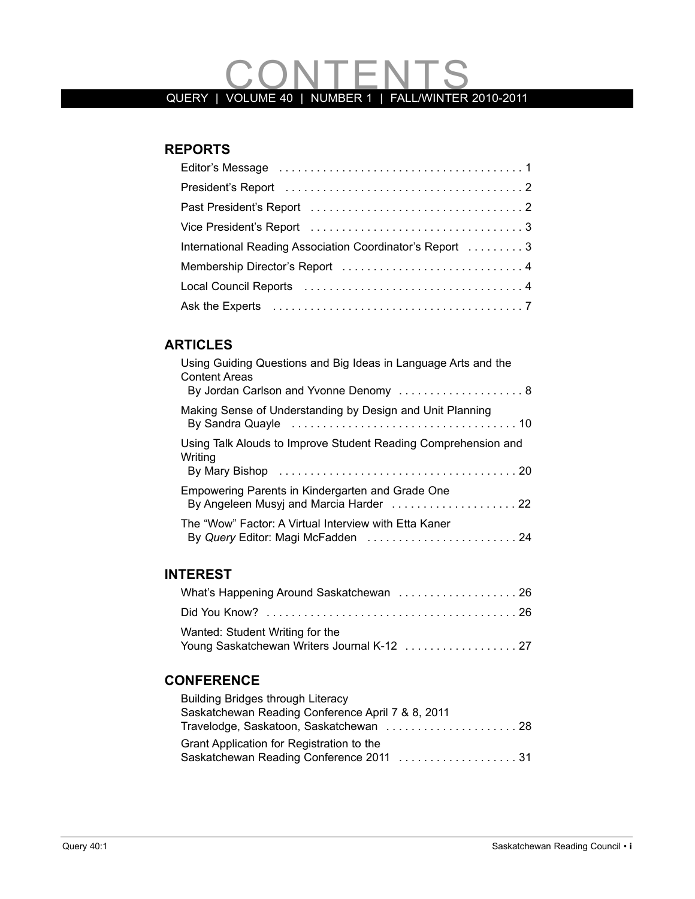# QUERY | VOLUME 40 | NUMBER 1 | FALLWINTER 2010-2011

#### **REPORTS**

| International Reading Association Coordinator's Report  3 |
|-----------------------------------------------------------|
|                                                           |
|                                                           |
|                                                           |

#### **ARTIClES**

#### **INTEREST**

| Wanted: Student Writing for the             |  |
|---------------------------------------------|--|
| Young Saskatchewan Writers Journal K-12  27 |  |

#### **CONFERENCE**

| <b>Building Bridges through Literacy</b>          |  |
|---------------------------------------------------|--|
| Saskatchewan Reading Conference April 7 & 8, 2011 |  |
| Travelodge, Saskatoon, Saskatchewan  28           |  |
| Grant Application for Registration to the         |  |
|                                                   |  |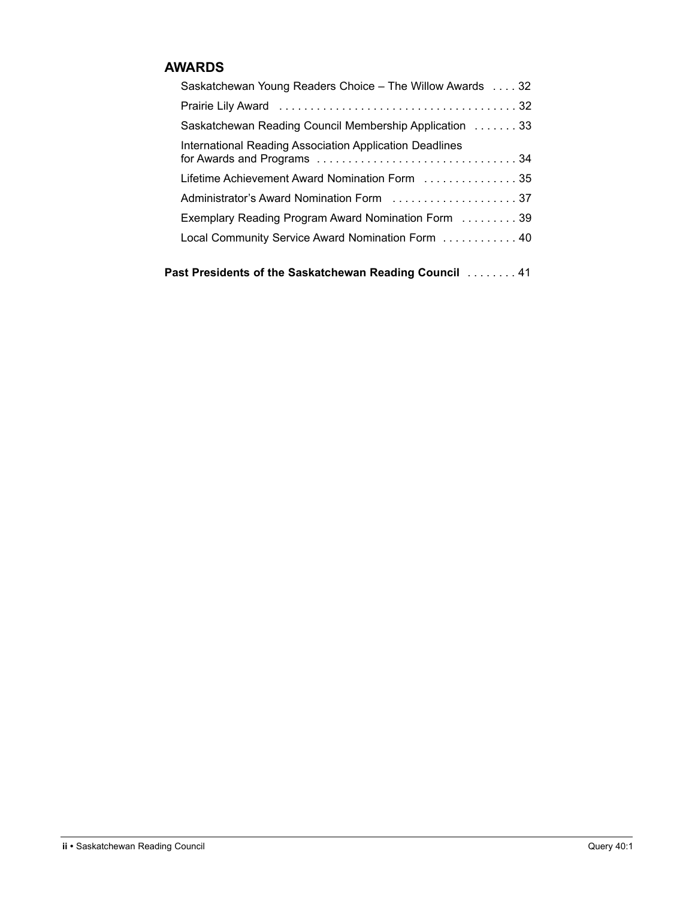#### **AWARDS**

| Saskatchewan Young Readers Choice – The Willow Awards  32      |
|----------------------------------------------------------------|
|                                                                |
| Saskatchewan Reading Council Membership Application  33        |
| <b>International Reading Association Application Deadlines</b> |
|                                                                |
|                                                                |
| Exemplary Reading Program Award Nomination Form 39             |
| Local Community Service Award Nomination Form  40              |
|                                                                |

**Past Presidents of the Saskatchewan Reading Council** . . . . . . . . 41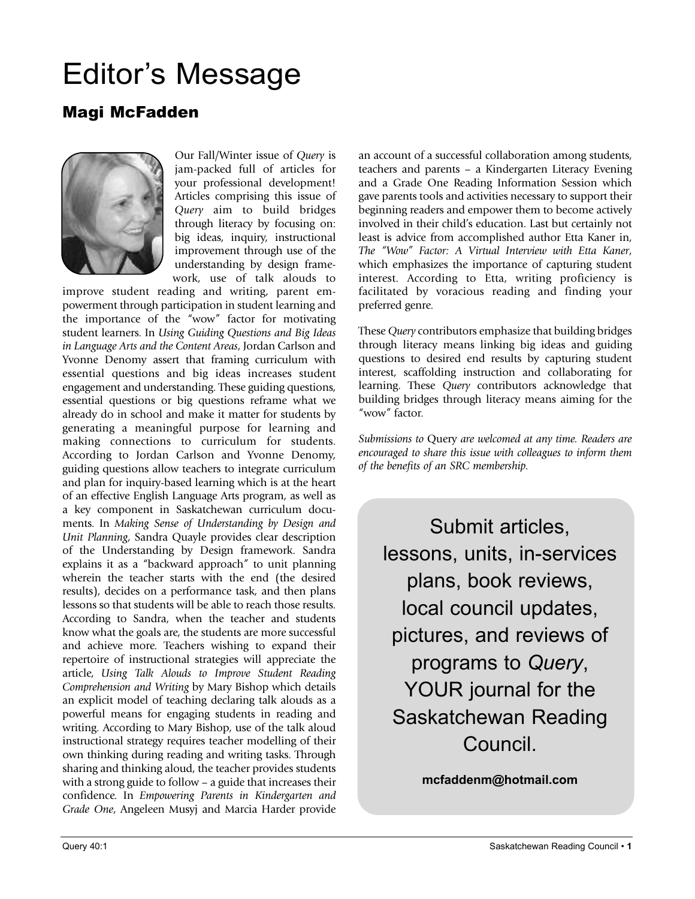## Editor's Message

### Magi McFadden



Our Fall/Winter issue of *Query* is jam-packed full of articles for your professional development! Articles comprising this issue of *Query* aim to build bridges through literacy by focusing on: big ideas, inquiry, instructional improvement through use of the understanding by design framework, use of talk alouds to

improve student reading and writing, parent empowerment through participation in student learning and the importance of the "wow" factor for motivating student learners. In *Using Guiding Questions and Big Ideas in Language Arts and the Content Areas*, Jordan Carlson and Yvonne Denomy assert that framing curriculum with essential questions and big ideas increases student engagement and understanding. These guiding questions, essential questions or big questions reframe what we already do in school and make it matter for students by generating a meaningful purpose for learning and making connections to curriculum for students. According to Jordan Carlson and Yvonne Denomy, guiding questions allow teachers to integrate curriculum and plan for inquiry-based learning which is at the heart of an effective English Language Arts program, as well as a key component in Saskatchewan curriculum documents. In *Making Sense of Understanding by Design and Unit Planning*, Sandra Quayle provides clear description of the Understanding by Design framework. Sandra explains it as a "backward approach" to unit planning wherein the teacher starts with the end (the desired results), decides on a performance task, and then plans lessons so that students will be able to reach those results. According to Sandra, when the teacher and students know what the goals are, the students are more successful and achieve more. Teachers wishing to expand their repertoire of instructional strategies will appreciate the article, *Using Talk Alouds to Improve Student Reading Comprehension and Writing* by Mary Bishop which details an explicit model of teaching declaring talk alouds as a powerful means for engaging students in reading and writing. According to Mary Bishop, use of the talk aloud instructional strategy requires teacher modelling of their own thinking during reading and writing tasks. Through sharing and thinking aloud, the teacher provides students with a strong guide to follow – a guide that increases their confidence. In *Empowering Parents in Kindergarten and Grade One*, Angeleen Musyj and Marcia Harder provide an account of a successful collaboration among students, teachers and parents – a Kindergarten Literacy Evening and a Grade One Reading Information Session which gave parents tools and activities necessary to support their beginning readers and empower them to become actively involved in their child's education. Last but certainly not least is advice from accomplished author Etta Kaner in, *The "Wow" Factor: A Virtual Interview with Etta Kaner*, which emphasizes the importance of capturing student interest. According to Etta, writing proficiency is facilitated by voracious reading and finding your preferred genre.

These *Query* contributors emphasize that building bridges through literacy means linking big ideas and guiding questions to desired end results by capturing student interest, scaffolding instruction and collaborating for learning. These *Query* contributors acknowledge that building bridges through literacy means aiming for the "wow" factor.

*Submissions to* Query *are welcomed at any time. Readers are encouraged to share this issue with colleagues to inform them of the benefits of an SRC membership.*

Submit articles, lessons, units, in-services plans, book reviews, local council updates, pictures, and reviews of programs to *Query*, YOUR journal for the Saskatchewan Reading Council.

**mcfaddenm@hotmail.com**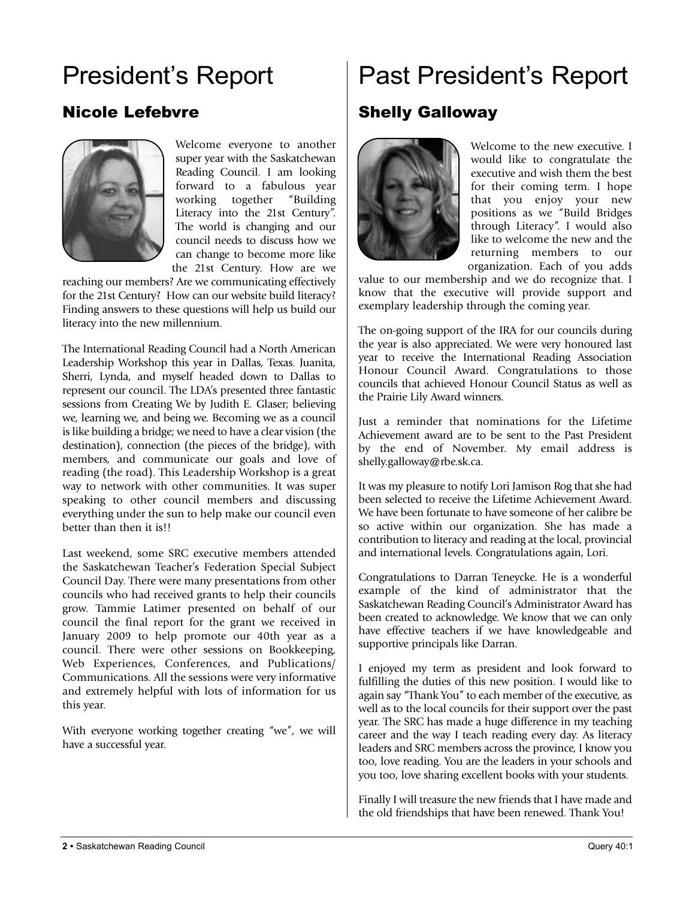## President's Report

### Nicole Lefebvre



Welcome everyone to another super year with the Saskatchewan Reading Council. I am looking forward to a fabulous year working together "Building Literacy into the 21st Century". The world is changing and our council needs to discuss how we can change to become more like the 21st Century. How are we

reaching our members? Are we communicating effectively for the 21st Century? How can our website build literacy? Finding answers to these questions will help us build our literacy into the new millennium.

The International Reading Council had a North American Leadership Workshop this year in Dallas, Texas. Juanita, Sherri, Lynda, and myself headed down to Dallas to represent our council. The LDA's presented three fantastic sessions from Creating We by Judith E. Glaser; believing we, learning we, and being we. Becoming we as a council is like building a bridge; we need to have a clear vision (the destination), connection (the pieces of the bridge), with members, and communicate our goals and love of reading (the road). This Leadership Workshop is a great way to network with other communities. It was super speaking to other council members and discussing everything under the sun to help make our council even better than then it is!!

Last weekend, some SRC executive members attended the Saskatchewan Teacher's Federation Special Subject Council Day. There were many presentations from other councils who had received grants to help their councils grow. Tammie Latimer presented on behalf of our council the final report for the grant we received in January 2009 to help promote our 40th year as a council. There were other sessions on Bookkeeping, Web Experiences, Conferences, and Publications/ Communications. All the sessions were very informative and extremely helpful with lots of information for us this year.

With everyone working together creating "we", we will have a successful year.

## Past President's Report

### Shelly Galloway



Welcome to the new executive. I would like to congratulate the executive and wish them the best for their coming term. I hope that you enjoy your new positions as we "Build Bridges through Literacy". I would also like to welcome the new and the returning members to our organization. Each of you adds

value to our membership and we do recognize that. I know that the executive will provide support and exemplary leadership through the coming year.

The on-going support of the IRA for our councils during the year is also appreciated. We were very honoured last year to receive the International Reading Association Honour Council Award. Congratulations to those councils that achieved Honour Council Status as well as the Prairie Lily Award winners.

Just a reminder that nominations for the Lifetime Achievement award are to be sent to the Past President by the end of November. My email address is shelly.galloway@rbe.sk.ca.

It was my pleasure to notify Lori Jamison Rog that she had been selected to receive the Lifetime Achievement Award. We have been fortunate to have someone of her calibre be so active within our organization. She has made a contribution to literacy and reading at the local, provincial and international levels. Congratulations again, Lori.

Congratulations to Darran Teneycke. He is a wonderful example of the kind of administrator that the Saskatchewan Reading Council's Administrator Award has been created to acknowledge. We know that we can only have effective teachers if we have knowledgeable and supportive principals like Darran.

I enjoyed my term as president and look forward to fulfilling the duties of this new position. I would like to again say "Thank You" to each member of the executive, as well as to the local councils for their support over the past year. The SRC has made a huge difference in my teaching career and the way I teach reading every day. As literacy leaders and SRC members across the province, I know you too, love reading. You are the leaders in your schools and you too, love sharing excellent books with your students.

Finally I will treasure the new friends that I have made and the old friendships that have been renewed. Thank You!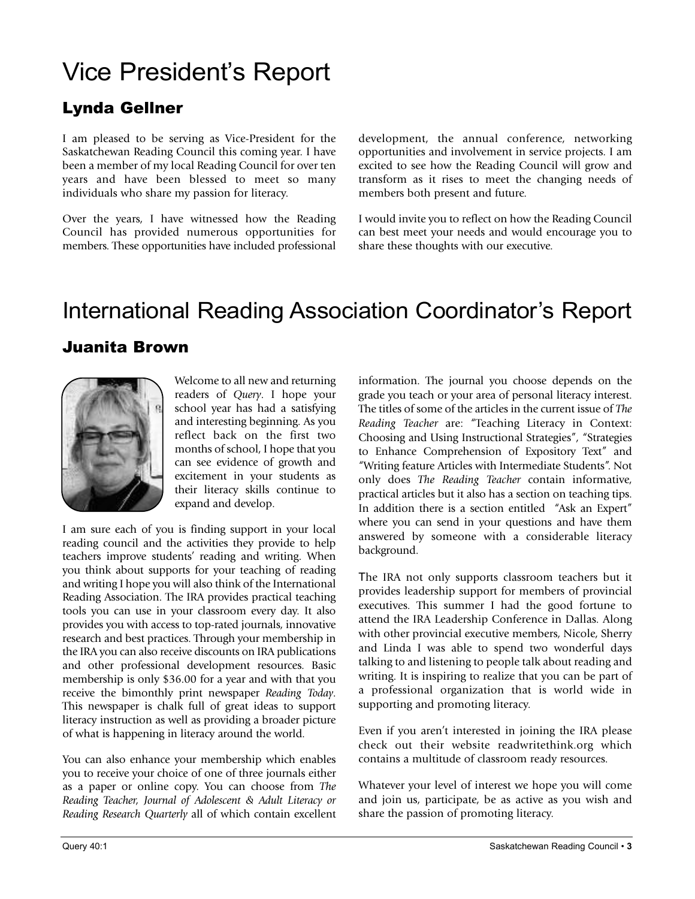## Vice President's Report

### Lynda Gellner

I am pleased to be serving as Vice-President for the Saskatchewan Reading Council this coming year. I have been a member of my local Reading Council for over ten years and have been blessed to meet so many individuals who share my passion for literacy.

Over the years, I have witnessed how the Reading Council has provided numerous opportunities for members. These opportunities have included professional development, the annual conference, networking opportunities and involvement in service projects. I am excited to see how the Reading Council will grow and transform as it rises to meet the changing needs of members both present and future.

I would invite you to reflect on how the Reading Council can best meet your needs and would encourage you to share these thoughts with our executive.

## International Reading Association Coordinator's Report

#### Juanita Brown



Welcome to all new and returning readers of *Query*. I hope your school year has had a satisfying and interesting beginning. As you reflect back on the first two months of school, I hope that you can see evidence of growth and excitement in your students as their literacy skills continue to expand and develop.

I am sure each of you is finding support in your local reading council and the activities they provide to help teachers improve students' reading and writing. When you think about supports for your teaching of reading and writing I hope you will also think of the International Reading Association. The IRA provides practical teaching tools you can use in your classroom every day. It also provides you with access to top-rated journals, innovative research and best practices. Through your membership in the IRA you can also receive discounts on IRA publications and other professional development resources. Basic membership is only \$36.00 for a year and with that you receive the bimonthly print newspaper *Reading Today*. This newspaper is chalk full of great ideas to support literacy instruction as well as providing a broader picture of what is happening in literacy around the world.

You can also enhance your membership which enables you to receive your choice of one of three journals either as a paper or online copy. You can choose from *The Reading Teacher, Journal of Adolescent & Adult Literacy or Reading Research Quarterly* all of which contain excellent information. The journal you choose depends on the grade you teach or your area of personal literacy interest. The titles of some of the articles in the current issue of *The Reading Teacher* are: "Teaching Literacy in Context: Choosing and Using Instructional Strategies", "Strategies to Enhance Comprehension of Expository Text" and "Writing feature Articles with Intermediate Students". Not only does *The Reading Teacher* contain informative, practical articles but it also has a section on teaching tips. In addition there is a section entitled "Ask an Expert" where you can send in your questions and have them answered by someone with a considerable literacy background.

The IRA not only supports classroom teachers but it provides leadership support for members of provincial executives. This summer I had the good fortune to attend the IRA Leadership Conference in Dallas. Along with other provincial executive members, Nicole, Sherry and Linda I was able to spend two wonderful days talking to and listening to people talk about reading and writing. It is inspiring to realize that you can be part of a professional organization that is world wide in supporting and promoting literacy.

Even if you aren't interested in joining the IRA please check out their website readwritethink.org which contains a multitude of classroom ready resources.

Whatever your level of interest we hope you will come and join us, participate, be as active as you wish and share the passion of promoting literacy.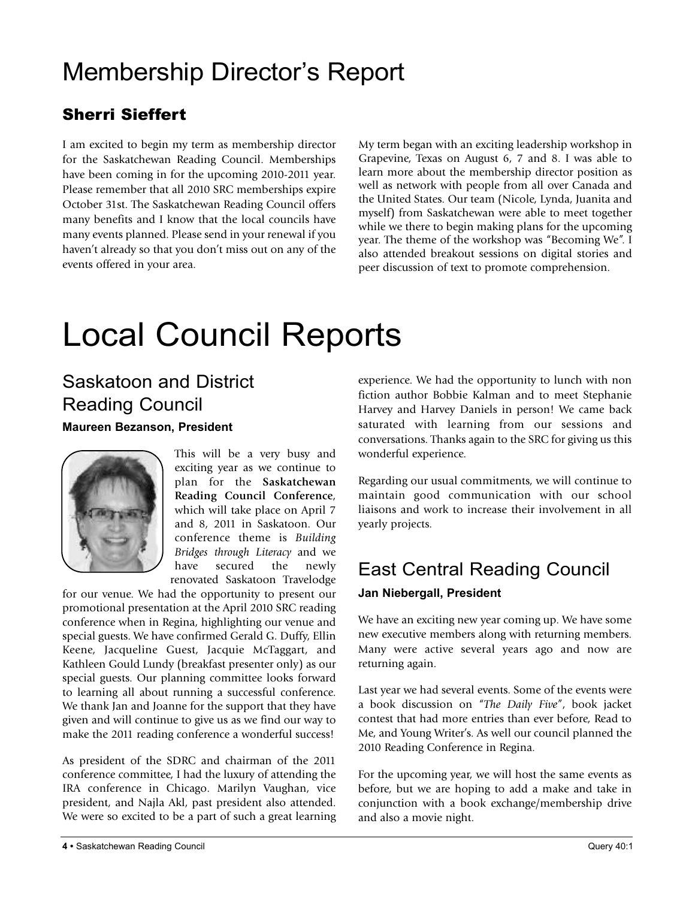## Membership Director's Report

### Sherri Sieffert

I am excited to begin my term as membership director for the Saskatchewan Reading Council. Memberships have been coming in for the upcoming 2010-2011 year. Please remember that all 2010 SRC memberships expire October 31st. The Saskatchewan Reading Council offers many benefits and I know that the local councils have many events planned. Please send in your renewal if you haven't already so that you don't miss out on any of the events offered in your area.

My term began with an exciting leadership workshop in Grapevine, Texas on August 6, 7 and 8. I was able to learn more about the membership director position as well as network with people from all over Canada and the United States. Our team (Nicole, Lynda, Juanita and myself) from Saskatchewan were able to meet together while we there to begin making plans for the upcoming year. The theme of the workshop was "Becoming We". I also attended breakout sessions on digital stories and peer discussion of text to promote comprehension.

## Local Council Reports

## Saskatoon and District Reading Council

#### **Maureen Bezanson, President**



This will be a very busy and exciting year as we continue to plan for the **Saskatchewan Reading Council Conference**, which will take place on April 7 and 8, 2011 in Saskatoon. Our conference theme is *Building Bridges through Literacy* and we have secured the newly renovated Saskatoon Travelodge

for our venue. We had the opportunity to present our promotional presentation at the April 2010 SRC reading conference when in Regina, highlighting our venue and special guests. We have confirmed Gerald G. Duffy, Ellin Keene, Jacqueline Guest, Jacquie McTaggart, and Kathleen Gould Lundy (breakfast presenter only) as our special guests. Our planning committee looks forward to learning all about running a successful conference. We thank Jan and Joanne for the support that they have given and will continue to give us as we find our way to make the 2011 reading conference a wonderful success!

As president of the SDRC and chairman of the 2011 conference committee, I had the luxury of attending the IRA conference in Chicago. Marilyn Vaughan, vice president, and Najla Akl, past president also attended. We were so excited to be a part of such a great learning

experience. We had the opportunity to lunch with non fiction author Bobbie Kalman and to meet Stephanie Harvey and Harvey Daniels in person! We came back saturated with learning from our sessions and conversations. Thanks again to the SRC for giving us this wonderful experience.

Regarding our usual commitments, we will continue to maintain good communication with our school liaisons and work to increase their involvement in all yearly projects.

### East Central Reading Council

#### **Jan Niebergall, President**

We have an exciting new year coming up. We have some new executive members along with returning members. Many were active several years ago and now are returning again.

Last year we had several events. Some of the events were a book discussion on "*The Daily Five*", book jacket contest that had more entries than ever before, Read to Me, and Young Writer's. As well our council planned the 2010 Reading Conference in Regina.

For the upcoming year, we will host the same events as before, but we are hoping to add a make and take in conjunction with a book exchange/membership drive and also a movie night.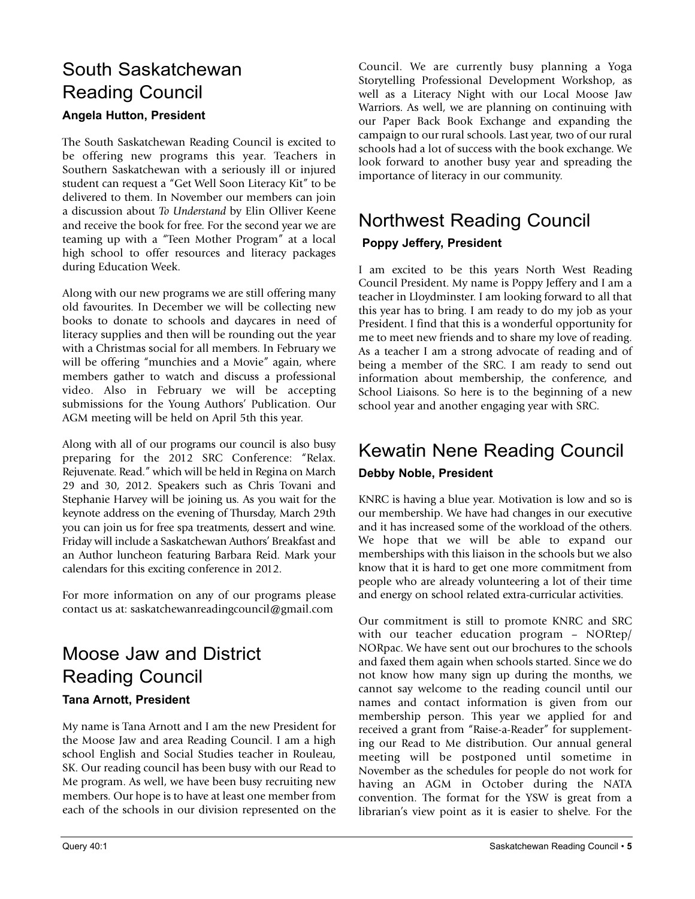### South Saskatchewan Reading Council **Angela Hutton, President**

The South Saskatchewan Reading Council is excited to be offering new programs this year. Teachers in Southern Saskatchewan with a seriously ill or injured student can request a "Get Well Soon Literacy Kit" to be delivered to them. In November our members can join a discussion about *To Understand* by Elin Olliver Keene and receive the book for free. For the second year we are teaming up with a "Teen Mother Program" at a local high school to offer resources and literacy packages during Education Week.

Along with our new programs we are still offering many old favourites. In December we will be collecting new books to donate to schools and daycares in need of literacy supplies and then will be rounding out the year with a Christmas social for all members. In February we will be offering "munchies and a Movie" again, where members gather to watch and discuss a professional video. Also in February we will be accepting submissions for the Young Authors' Publication. Our AGM meeting will be held on April 5th this year.

Along with all of our programs our council is also busy preparing for the 2012 SRC Conference: "Relax. Rejuvenate. Read." which will be held in Regina on March 29 and 30, 2012. Speakers such as Chris Tovani and Stephanie Harvey will be joining us. As you wait for the keynote address on the evening of Thursday, March 29th you can join us for free spa treatments, dessert and wine. Friday will include a Saskatchewan Authors' Breakfast and an Author luncheon featuring Barbara Reid. Mark your calendars for this exciting conference in 2012.

For more information on any of our programs please contact us at: saskatchewanreadingcouncil@gmail.com

### Moose Jaw and District Reading Council **Tana Arnott, President**

My name is Tana Arnott and I am the new President for the Moose Jaw and area Reading Council. I am a high school English and Social Studies teacher in Rouleau, SK. Our reading council has been busy with our Read to Me program. As well, we have been busy recruiting new members. Our hope is to have at least one member from each of the schools in our division represented on the Council. We are currently busy planning a Yoga Storytelling Professional Development Workshop, as well as a Literacy Night with our Local Moose Jaw Warriors. As well, we are planning on continuing with our Paper Back Book Exchange and expanding the campaign to our rural schools. Last year, two of our rural schools had a lot of success with the book exchange. We look forward to another busy year and spreading the importance of literacy in our community.

## Northwest Reading Council

#### **Poppy Jeffery, President**

I am excited to be this years North West Reading Council President. My name is Poppy Jeffery and I am a teacher in Lloydminster. I am looking forward to all that this year has to bring. I am ready to do my job as your President. I find that this is a wonderful opportunity for me to meet new friends and to share my love of reading. As a teacher I am a strong advocate of reading and of being a member of the SRC. I am ready to send out information about membership, the conference, and School Liaisons. So here is to the beginning of a new school year and another engaging year with SRC.

## Kewatin Nene Reading Council

#### **Debby Noble, President**

KNRC is having a blue year. Motivation is low and so is our membership. We have had changes in our executive and it has increased some of the workload of the others. We hope that we will be able to expand our memberships with this liaison in the schools but we also know that it is hard to get one more commitment from people who are already volunteering a lot of their time and energy on school related extra-curricular activities.

Our commitment is still to promote KNRC and SRC with our teacher education program – NORtep/ NORpac. We have sent out our brochures to the schools and faxed them again when schools started. Since we do not know how many sign up during the months, we cannot say welcome to the reading council until our names and contact information is given from our membership person. This year we applied for and received a grant from "Raise-a-Reader" for supplementing our Read to Me distribution. Our annual general meeting will be postponed until sometime in November as the schedules for people do not work for having an AGM in October during the NATA convention. The format for the YSW is great from a librarian's view point as it is easier to shelve. For the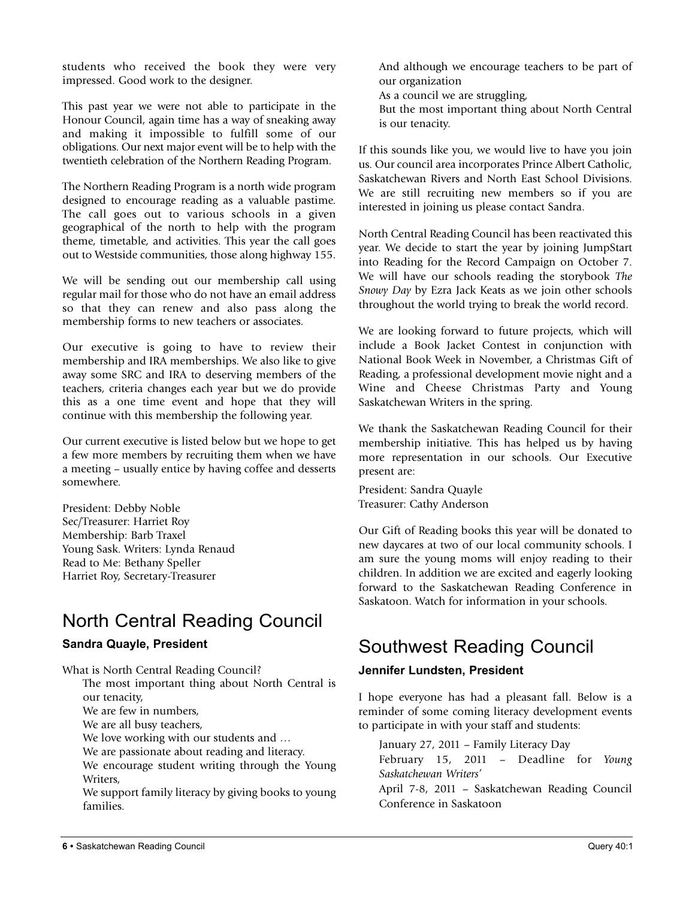students who received the book they were very impressed. Good work to the designer.

This past year we were not able to participate in the Honour Council, again time has a way of sneaking away and making it impossible to fulfill some of our obligations. Our next major event will be to help with the twentieth celebration of the Northern Reading Program.

The Northern Reading Program is a north wide program designed to encourage reading as a valuable pastime. The call goes out to various schools in a given geographical of the north to help with the program theme, timetable, and activities. This year the call goes out to Westside communities, those along highway 155.

We will be sending out our membership call using regular mail for those who do not have an email address so that they can renew and also pass along the membership forms to new teachers or associates.

Our executive is going to have to review their membership and IRA memberships. We also like to give away some SRC and IRA to deserving members of the teachers, criteria changes each year but we do provide this as a one time event and hope that they will continue with this membership the following year.

Our current executive is listed below but we hope to get a few more members by recruiting them when we have a meeting – usually entice by having coffee and desserts somewhere.

President: Debby Noble Sec/Treasurer: Harriet Roy Membership: Barb Traxel Young Sask. Writers: Lynda Renaud Read to Me: Bethany Speller Harriet Roy, Secretary-Treasurer

### North Central Reading Council

#### **Sandra Quayle, President**

What is North Central Reading Council?

The most important thing about North Central is our tenacity,

We are few in numbers,

We are all busy teachers,

We love working with our students and ...

We are passionate about reading and literacy.

We encourage student writing through the Young Writers,

We support family literacy by giving books to young families.

And although we encourage teachers to be part of our organization

As a council we are struggling,

But the most important thing about North Central is our tenacity.

If this sounds like you, we would live to have you join us. Our council area incorporates Prince Albert Catholic, Saskatchewan Rivers and North East School Divisions. We are still recruiting new members so if you are interested in joining us please contact Sandra.

North Central Reading Council has been reactivated this year. We decide to start the year by joining JumpStart into Reading for the Record Campaign on October 7. We will have our schools reading the storybook *The Snowy Day* by Ezra Jack Keats as we join other schools throughout the world trying to break the world record.

We are looking forward to future projects, which will include a Book Jacket Contest in conjunction with National Book Week in November, a Christmas Gift of Reading, a professional development movie night and a Wine and Cheese Christmas Party and Young Saskatchewan Writers in the spring.

We thank the Saskatchewan Reading Council for their membership initiative. This has helped us by having more representation in our schools. Our Executive present are:

President: Sandra Quayle Treasurer: Cathy Anderson

Our Gift of Reading books this year will be donated to new daycares at two of our local community schools. I am sure the young moms will enjoy reading to their children. In addition we are excited and eagerly looking forward to the Saskatchewan Reading Conference in Saskatoon. Watch for information in your schools.

### Southwest Reading Council

#### **Jennifer Lundsten, President**

I hope everyone has had a pleasant fall. Below is a reminder of some coming literacy development events to participate in with your staff and students:

January 27, 2011 – Family Literacy Day February 15, 2011 – Deadline for *Young Saskatchewan Writers'*

April 7-8, 2011 – Saskatchewan Reading Council Conference in Saskatoon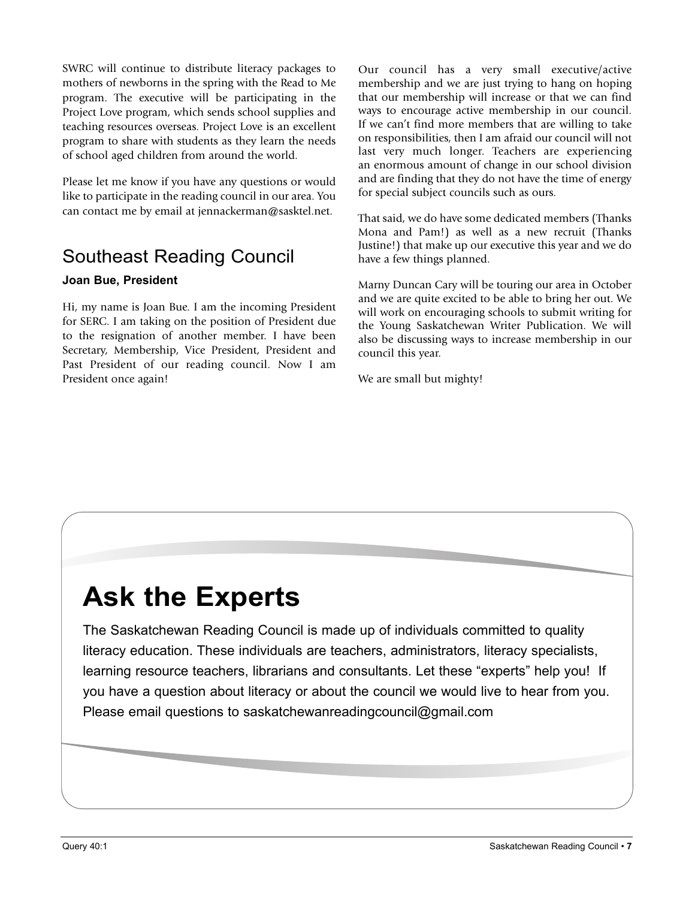SWRC will continue to distribute literacy packages to mothers of newborns in the spring with the Read to Me program. The executive will be participating in the Project Love program, which sends school supplies and teaching resources overseas. Project Love is an excellent program to share with students as they learn the needs of school aged children from around the world.

Please let me know if you have any questions or would like to participate in the reading council in our area. You can contact me by email at jennackerman@sasktel.net.

### Southeast Reading Council

#### **Joan Bue, President**

Hi, my name is Joan Bue. I am the incoming President for SERC. I am taking on the position of President due to the resignation of another member. I have been Secretary, Membership, Vice President, President and Past President of our reading council. Now I am President once again!

Our council has a very small executive/active membership and we are just trying to hang on hoping that our membership will increase or that we can find ways to encourage active membership in our council. If we can't find more members that are willing to take on responsibilities, then I am afraid our council will not last very much longer. Teachers are experiencing an enormous amount of change in our school division and are finding that they do not have the time of energy for special subject councils such as ours.

That said, we do have some dedicated members (Thanks Mona and Pam!) as well as a new recruit (Thanks Justine!) that make up our executive this year and we do have a few things planned.

Marny Duncan Cary will be touring our area in October and we are quite excited to be able to bring her out. We will work on encouraging schools to submit writing for the Young Saskatchewan Writer Publication. We will also be discussing ways to increase membership in our council this year.

We are small but mighty!

## **Ask the Experts**

The Saskatchewan Reading Council is made up of individuals committed to quality literacy education. These individuals are teachers, administrators, literacy specialists, learning resource teachers, librarians and consultants. Let these "experts" help you! If you have a question about literacy or about the council we would live to hear from you. Please email questions to saskatchewanreadingcouncil@gmail.com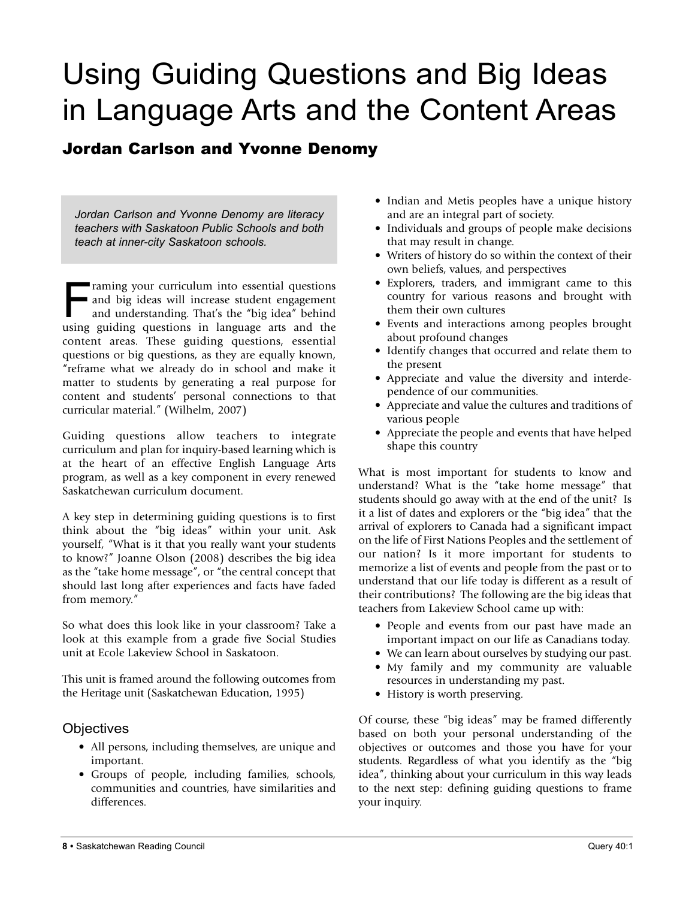## Using Guiding Questions and Big Ideas in Language Arts and the Content Areas

### Jordan Carlson and Yvonne Denomy

*Jordan Carlson and Yvonne Denomy are literacy teachers with Saskatoon Public Schools and both teach at inner-city Saskatoon schools.*

Framing your curriculum into essential questions<br>and big ideas will increase student engagement<br>and understanding. That's the "big idea" behind and big ideas will increase student engagement and understanding. That's the "big idea" behind using guiding questions in language arts and the content areas. These guiding questions, essential questions or big questions, as they are equally known, "reframe what we already do in school and make it matter to students by generating a real purpose for content and students' personal connections to that curricular material." (Wilhelm, 2007)

Guiding questions allow teachers to integrate curriculum and plan for inquiry-based learning which is at the heart of an effective English Language Arts program, as well as a key component in every renewed Saskatchewan curriculum document.

A key step in determining guiding questions is to first think about the "big ideas" within your unit. Ask yourself, "What is it that you really want your students to know?" Joanne Olson (2008) describes the big idea as the "take home message", or "the central concept that should last long after experiences and facts have faded from memory."

So what does this look like in your classroom? Take a look at this example from a grade five Social Studies unit at Ecole Lakeview School in Saskatoon.

This unit is framed around the following outcomes from the Heritage unit (Saskatchewan Education, 1995)

#### **Objectives**

- All persons, including themselves, are unique and important.
- Groups of people, including families, schools, communities and countries, have similarities and differences.
- Indian and Metis peoples have a unique history and are an integral part of society.
- Individuals and groups of people make decisions that may result in change.
- Writers of history do so within the context of their own beliefs, values, and perspectives
- Explorers, traders, and immigrant came to this country for various reasons and brought with them their own cultures
- Events and interactions among peoples brought about profound changes
- Identify changes that occurred and relate them to the present
- Appreciate and value the diversity and interdependence of our communities.
- Appreciate and value the cultures and traditions of various people
- Appreciate the people and events that have helped shape this country

What is most important for students to know and understand? What is the "take home message" that students should go away with at the end of the unit? Is it a list of dates and explorers or the "big idea" that the arrival of explorers to Canada had a significant impact on the life of First Nations Peoples and the settlement of our nation? Is it more important for students to memorize a list of events and people from the past or to understand that our life today is different as a result of their contributions? The following are the big ideas that teachers from Lakeview School came up with:

- People and events from our past have made an important impact on our life as Canadians today.
- We can learn about ourselves by studying our past. • My family and my community are valuable
- resources in understanding my past.
- History is worth preserving.

Of course, these "big ideas" may be framed differently based on both your personal understanding of the objectives or outcomes and those you have for your students. Regardless of what you identify as the "big idea", thinking about your curriculum in this way leads to the next step: defining guiding questions to frame your inquiry.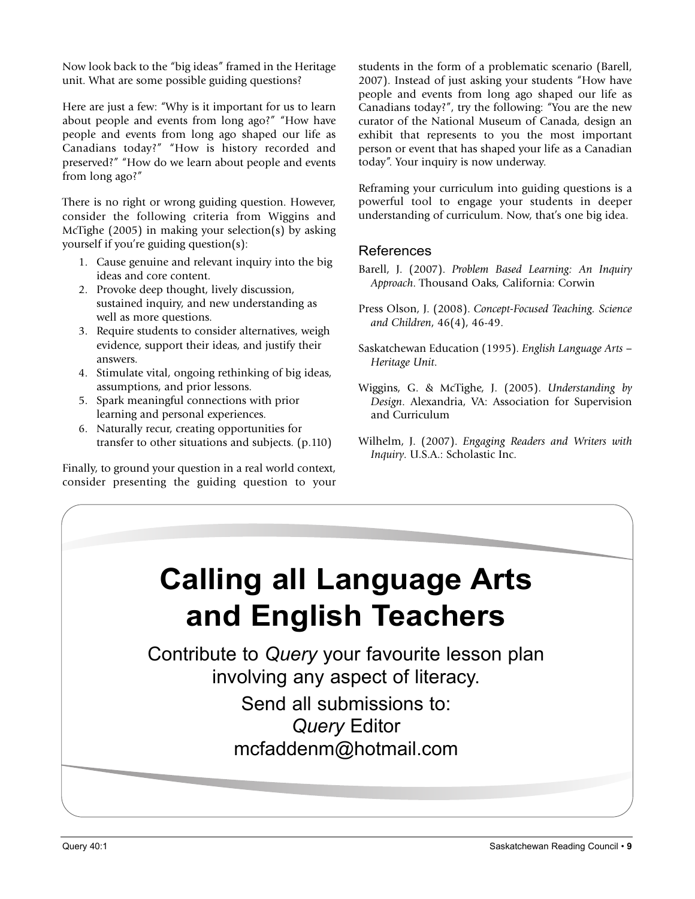Now look back to the "big ideas" framed in the Heritage unit. What are some possible guiding questions?

Here are just a few: "Why is it important for us to learn about people and events from long ago?" "How have people and events from long ago shaped our life as Canadians today?" "How is history recorded and preserved?" "How do we learn about people and events from long ago?"

There is no right or wrong guiding question. However, consider the following criteria from Wiggins and McTighe (2005) in making your selection(s) by asking yourself if you're guiding question(s):

- 1. Cause genuine and relevant inquiry into the big ideas and core content.
- 2. Provoke deep thought, lively discussion, sustained inquiry, and new understanding as well as more questions.
- 3. Require students to consider alternatives, weigh evidence, support their ideas, and justify their answers.
- 4. Stimulate vital, ongoing rethinking of big ideas, assumptions, and prior lessons.
- 5. Spark meaningful connections with prior learning and personal experiences.
- 6. Naturally recur, creating opportunities for transfer to other situations and subjects. (p.110)

Finally, to ground your question in a real world context, consider presenting the guiding question to your students in the form of a problematic scenario (Barell, 2007). Instead of just asking your students "How have people and events from long ago shaped our life as Canadians today?", try the following: "You are the new curator of the National Museum of Canada, design an exhibit that represents to you the most important person or event that has shaped your life as a Canadian today". Your inquiry is now underway.

Reframing your curriculum into guiding questions is a powerful tool to engage your students in deeper understanding of curriculum. Now, that's one big idea.

#### **References**

- Barell, J. (2007). *Problem Based Learning: An Inquiry Approach*. Thousand Oaks, California: Corwin
- Press Olson, J. (2008). *Concept-Focused Teaching. Science and Children*, 46(4), 46-49.
- Saskatchewan Education (1995). *English Language Arts – Heritage Unit*.
- Wiggins, G. & McTighe, J. (2005). *Understanding by Design*. Alexandria, VA: Association for Supervision and Curriculum
- Wilhelm, J. (2007). *Engaging Readers and Writers with Inquiry*. U.S.A.: Scholastic Inc.

## **Calling all language Arts and English Teachers**

Contribute to *Query* your favourite lesson plan involving any aspect of literacy. Send all submissions to: *Query* Editor

mcfaddenm@hotmail.com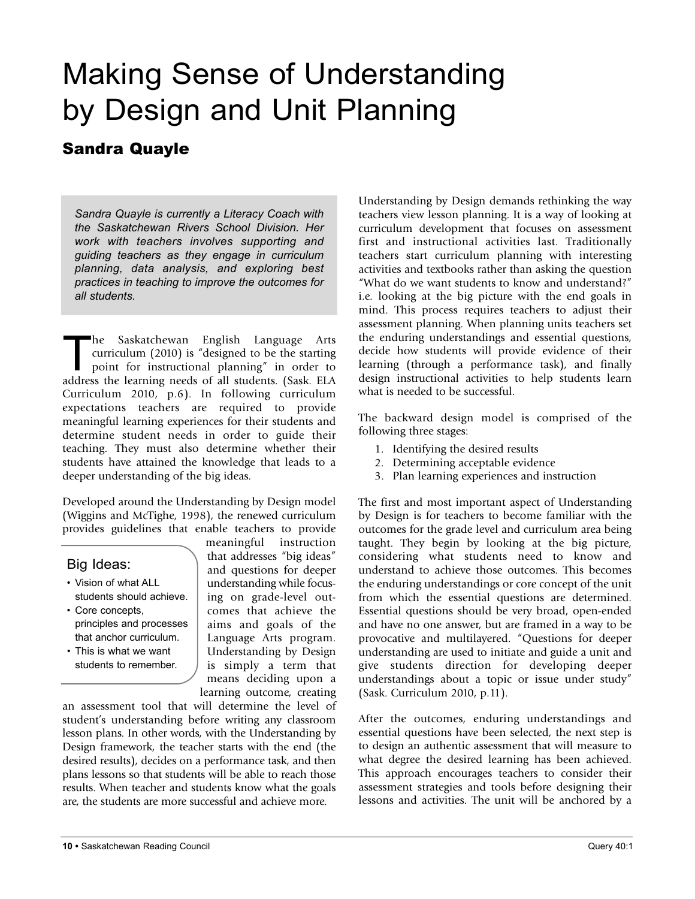## Making Sense of Understanding by Design and Unit Planning

### Sandra Quayle

*Sandra Quayle is currently a Literacy Coach with the Saskatchewan Rivers School Division. Her work with teachers involves supporting and guiding teachers as they engage in curriculum planning, data analysis, and exploring best practices in teaching to improve the outcomes for all students.*

The Saskatchewan English Language Arts curriculum (2010) is "designed to be the starting point for instructional planning" in order to address the learning needs of all students. (Sask. ELA Curriculum 2010, p.6). In following curriculum expectations teachers are required to provide meaningful learning experiences for their students and determine student needs in order to guide their teaching. They must also determine whether their students have attained the knowledge that leads to a deeper understanding of the big ideas.

Developed around the Understanding by Design model (Wiggins and McTighe, 1998), the renewed curriculum provides guidelines that enable teachers to provide

#### Big Ideas:

- Vision of what ALL students should achieve.
- Core concepts, principles and processes that anchor curriculum.
- This is what we want students to remember.

meaningful instruction that addresses "big ideas" and questions for deeper understanding while focusing on grade-level outcomes that achieve the aims and goals of the Language Arts program. Understanding by Design is simply a term that means deciding upon a learning outcome, creating

an assessment tool that will determine the level of student's understanding before writing any classroom lesson plans. In other words, with the Understanding by Design framework, the teacher starts with the end (the desired results), decides on a performance task, and then plans lessons so that students will be able to reach those results. When teacher and students know what the goals are, the students are more successful and achieve more.

Understanding by Design demands rethinking the way teachers view lesson planning. It is a way of looking at curriculum development that focuses on assessment first and instructional activities last. Traditionally teachers start curriculum planning with interesting activities and textbooks rather than asking the question "What do we want students to know and understand?" i.e. looking at the big picture with the end goals in mind. This process requires teachers to adjust their assessment planning. When planning units teachers set the enduring understandings and essential questions, decide how students will provide evidence of their learning (through a performance task), and finally design instructional activities to help students learn what is needed to be successful.

The backward design model is comprised of the following three stages:

- 1. Identifying the desired results
- 2. Determining acceptable evidence
- 3. Plan learning experiences and instruction

The first and most important aspect of Understanding by Design is for teachers to become familiar with the outcomes for the grade level and curriculum area being taught. They begin by looking at the big picture, considering what students need to know and understand to achieve those outcomes. This becomes the enduring understandings or core concept of the unit from which the essential questions are determined. Essential questions should be very broad, open-ended and have no one answer, but are framed in a way to be provocative and multilayered. "Questions for deeper understanding are used to initiate and guide a unit and give students direction for developing deeper understandings about a topic or issue under study" (Sask. Curriculum 2010, p.11).

After the outcomes, enduring understandings and essential questions have been selected, the next step is to design an authentic assessment that will measure to what degree the desired learning has been achieved. This approach encourages teachers to consider their assessment strategies and tools before designing their lessons and activities. The unit will be anchored by a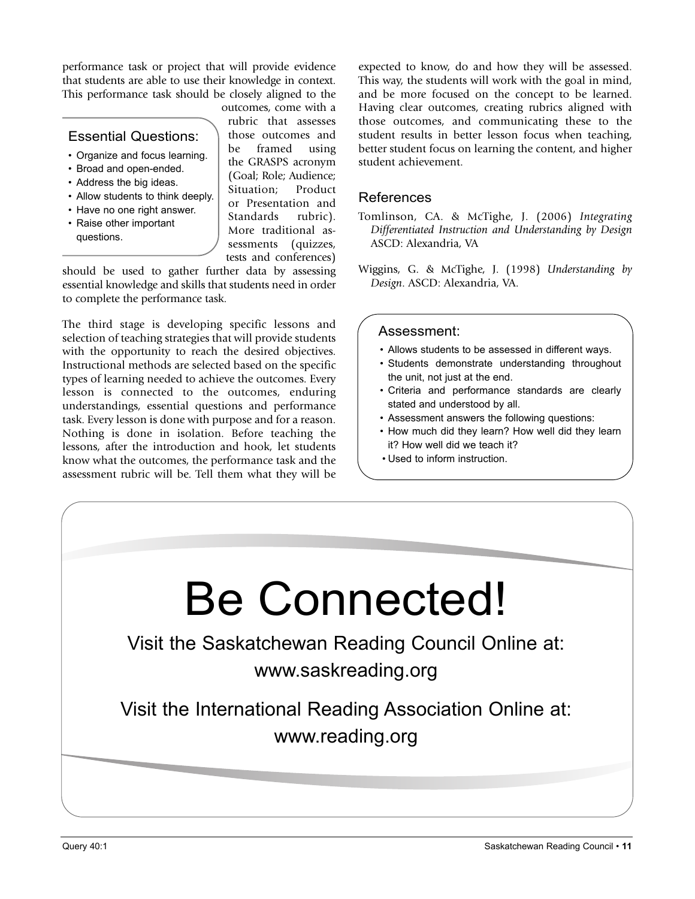performance task or project that will provide evidence that students are able to use their knowledge in context. This performance task should be closely aligned to the

#### Essential Questions:

- Organize and focus learning.
- Broad and open-ended.
- Address the big ideas.
- Allow students to think deeply.
- Have no one right answer.
- Raise other important questions.

outcomes, come with a rubric that assesses those outcomes and be framed using the GRASPS acronym (Goal; Role; Audience; Situation; Product or Presentation and Standards rubric). More traditional assessments (quizzes, tests and conferences)

should be used to gather further data by assessing essential knowledge and skills that students need in order to complete the performance task.

The third stage is developing specific lessons and selection of teaching strategies that will provide students with the opportunity to reach the desired objectives. Instructional methods are selected based on the specific types of learning needed to achieve the outcomes. Every lesson is connected to the outcomes, enduring understandings, essential questions and performance task. Every lesson is done with purpose and for a reason. Nothing is done in isolation. Before teaching the lessons, after the introduction and hook, let students know what the outcomes, the performance task and the assessment rubric will be. Tell them what they will be expected to know, do and how they will be assessed. This way, the students will work with the goal in mind, and be more focused on the concept to be learned. Having clear outcomes, creating rubrics aligned with those outcomes, and communicating these to the student results in better lesson focus when teaching, better student focus on learning the content, and higher student achievement.

#### References

Tomlinson, CA. & McTighe, J. (2006) *Integrating Differentiated Instruction and Understanding by Design* ASCD: Alexandria, VA

Wiggins, G. & McTighe, J. (1998) *Understanding by Design*. ASCD: Alexandria, VA.

#### Assessment:

- Allows students to be assessed in different ways.
- Students demonstrate understanding throughout the unit, not just at the end.
- Criteria and performance standards are clearly stated and understood by all.
- Assessment answers the following questions:
- How much did they learn? How well did they learn it? How well did we teach it?
- Used to inform instruction.

# Be Connected!

Visit the Saskatchewan Reading Council Online at: www.saskreading.org

Visit the International Reading Association Online at: www.reading.org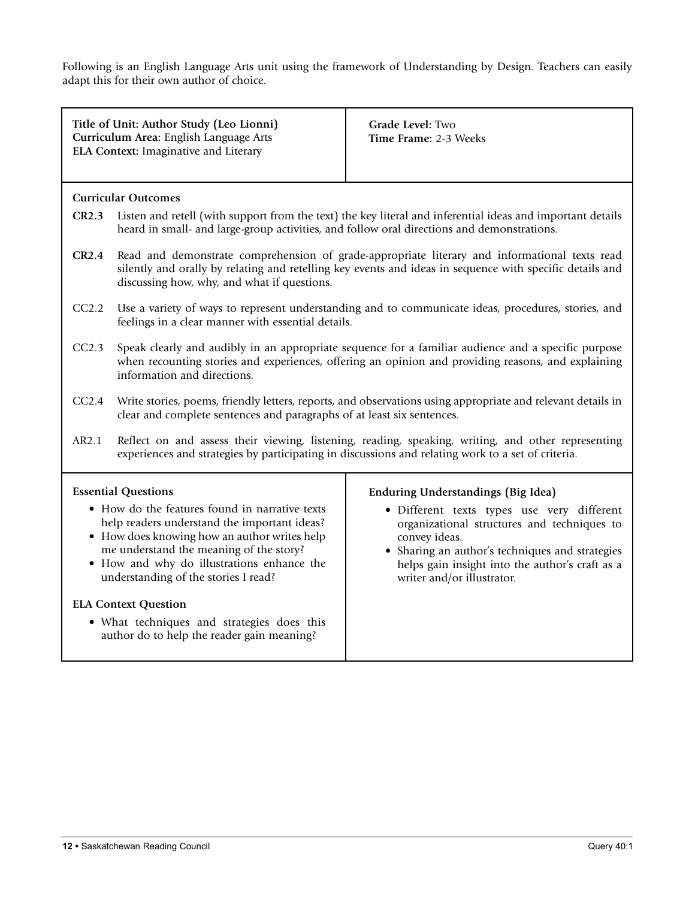Following is an English Language Arts unit using the framework of Understanding by Design. Teachers can easily adapt this for their own author of choice.

|                                                                                                                                                                                                                                                                                                                                | Title of Unit: Author Study (Leo Lionni)<br>Curriculum Area: English Language Arts<br>ELA Context: Imaginative and Literary                                                                                                                              | Grade Level: Two<br>Time Frame: 2-3 Weeks                                                                                                                                                       |  |  |  |
|--------------------------------------------------------------------------------------------------------------------------------------------------------------------------------------------------------------------------------------------------------------------------------------------------------------------------------|----------------------------------------------------------------------------------------------------------------------------------------------------------------------------------------------------------------------------------------------------------|-------------------------------------------------------------------------------------------------------------------------------------------------------------------------------------------------|--|--|--|
|                                                                                                                                                                                                                                                                                                                                | <b>Curricular Outcomes</b>                                                                                                                                                                                                                               |                                                                                                                                                                                                 |  |  |  |
| Listen and retell (with support from the text) the key literal and inferential ideas and important details<br>CR2.3<br>heard in small- and large-group activities, and follow oral directions and demonstrations.                                                                                                              |                                                                                                                                                                                                                                                          |                                                                                                                                                                                                 |  |  |  |
| CR2.4                                                                                                                                                                                                                                                                                                                          | Read and demonstrate comprehension of grade-appropriate literary and informational texts read<br>silently and orally by relating and retelling key events and ideas in sequence with specific details and<br>discussing how, why, and what if questions. |                                                                                                                                                                                                 |  |  |  |
| CC2.2                                                                                                                                                                                                                                                                                                                          | Use a variety of ways to represent understanding and to communicate ideas, procedures, stories, and<br>feelings in a clear manner with essential details.                                                                                                |                                                                                                                                                                                                 |  |  |  |
| CC2.3                                                                                                                                                                                                                                                                                                                          | Speak clearly and audibly in an appropriate sequence for a familiar audience and a specific purpose<br>when recounting stories and experiences, offering an opinion and providing reasons, and explaining<br>information and directions.                 |                                                                                                                                                                                                 |  |  |  |
| CC2.4                                                                                                                                                                                                                                                                                                                          | Write stories, poems, friendly letters, reports, and observations using appropriate and relevant details in<br>clear and complete sentences and paragraphs of at least six sentences.                                                                    |                                                                                                                                                                                                 |  |  |  |
| AR2.1                                                                                                                                                                                                                                                                                                                          | Reflect on and assess their viewing, listening, reading, speaking, writing, and other representing<br>experiences and strategies by participating in discussions and relating work to a set of criteria.                                                 |                                                                                                                                                                                                 |  |  |  |
|                                                                                                                                                                                                                                                                                                                                | <b>Essential Questions</b>                                                                                                                                                                                                                               | <b>Enduring Understandings (Big Idea)</b>                                                                                                                                                       |  |  |  |
| • How do the features found in narrative texts<br>help readers understand the important ideas?<br>• How does knowing how an author writes help<br>convey ideas.<br>me understand the meaning of the story?<br>· How and why do illustrations enhance the<br>understanding of the stories I read?<br>writer and/or illustrator. |                                                                                                                                                                                                                                                          | · Different texts types use very different<br>organizational structures and techniques to<br>• Sharing an author's techniques and strategies<br>helps gain insight into the author's craft as a |  |  |  |
|                                                                                                                                                                                                                                                                                                                                | <b>ELA Context Question</b>                                                                                                                                                                                                                              |                                                                                                                                                                                                 |  |  |  |
|                                                                                                                                                                                                                                                                                                                                | • What techniques and strategies does this<br>author do to help the reader gain meaning?                                                                                                                                                                 |                                                                                                                                                                                                 |  |  |  |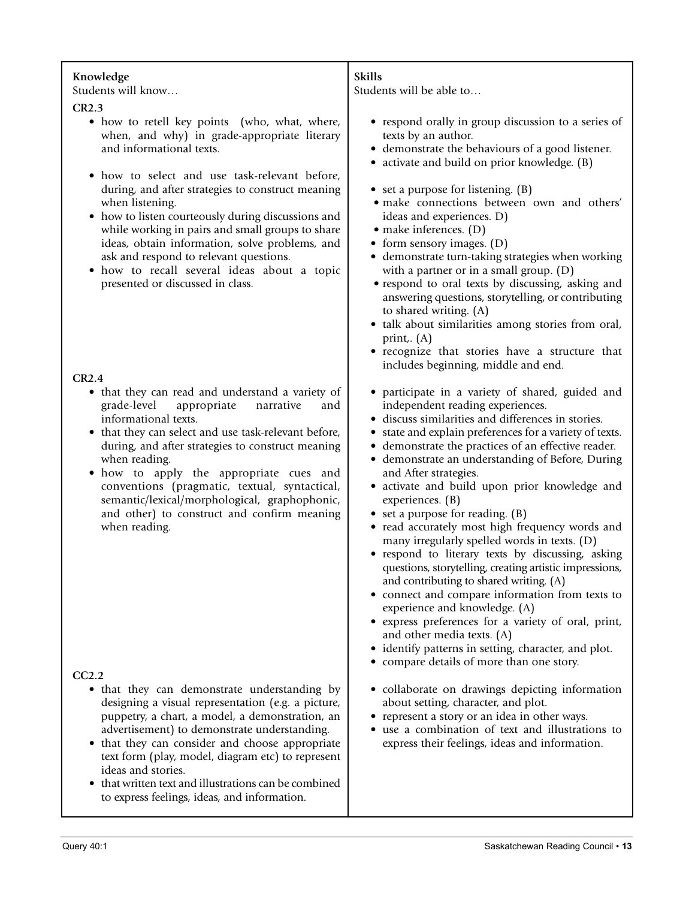| Knowledge<br>Students will know<br>CR2.3<br>• how to retell key points (who, what, where,<br>when, and why) in grade-appropriate literary<br>and informational texts.<br>how to select and use task-relevant before,<br>$\bullet$<br>during, and after strategies to construct meaning<br>when listening.<br>• how to listen courteously during discussions and<br>while working in pairs and small groups to share<br>ideas, obtain information, solve problems, and<br>ask and respond to relevant questions.<br>• how to recall several ideas about a topic<br>presented or discussed in class.<br>CR2.4<br>• that they can read and understand a variety of<br>grade-level<br>appropriate<br>narrative<br>and<br>informational texts.<br>that they can select and use task-relevant before,<br>$\bullet$<br>during, and after strategies to construct meaning<br>when reading.<br>how to apply the appropriate cues and<br>$\bullet$<br>conventions (pragmatic, textual, syntactical,<br>semantic/lexical/morphological, graphophonic, | <b>Skills</b><br>Students will be able to<br>• respond orally in group discussion to a series of<br>texts by an author.<br>• demonstrate the behaviours of a good listener.<br>• activate and build on prior knowledge. (B)<br>• set a purpose for listening. (B)<br>· make connections between own and others'<br>ideas and experiences. D)<br>$\bullet$ make inferences. (D)<br>• form sensory images. (D)<br>• demonstrate turn-taking strategies when working<br>with a partner or in a small group. (D)<br>• respond to oral texts by discussing, asking and<br>answering questions, storytelling, or contributing<br>to shared writing. (A)<br>• talk about similarities among stories from oral,<br>print,. $(A)$<br>• recognize that stories have a structure that<br>includes beginning, middle and end.<br>• participate in a variety of shared, guided and<br>independent reading experiences.<br>• discuss similarities and differences in stories.<br>• state and explain preferences for a variety of texts.<br>• demonstrate the practices of an effective reader.<br>· demonstrate an understanding of Before, During<br>and After strategies.<br>• activate and build upon prior knowledge and<br>experiences. (B) |
|--------------------------------------------------------------------------------------------------------------------------------------------------------------------------------------------------------------------------------------------------------------------------------------------------------------------------------------------------------------------------------------------------------------------------------------------------------------------------------------------------------------------------------------------------------------------------------------------------------------------------------------------------------------------------------------------------------------------------------------------------------------------------------------------------------------------------------------------------------------------------------------------------------------------------------------------------------------------------------------------------------------------------------------------|-------------------------------------------------------------------------------------------------------------------------------------------------------------------------------------------------------------------------------------------------------------------------------------------------------------------------------------------------------------------------------------------------------------------------------------------------------------------------------------------------------------------------------------------------------------------------------------------------------------------------------------------------------------------------------------------------------------------------------------------------------------------------------------------------------------------------------------------------------------------------------------------------------------------------------------------------------------------------------------------------------------------------------------------------------------------------------------------------------------------------------------------------------------------------------------------------------------------------------------|
| and other) to construct and confirm meaning<br>when reading.                                                                                                                                                                                                                                                                                                                                                                                                                                                                                                                                                                                                                                                                                                                                                                                                                                                                                                                                                                               | • set a purpose for reading. (B)<br>• read accurately most high frequency words and<br>many irregularly spelled words in texts. (D)<br>• respond to literary texts by discussing, asking<br>questions, storytelling, creating artistic impressions,<br>and contributing to shared writing. (A)<br>• connect and compare information from texts to<br>experience and knowledge. (A)<br>· express preferences for a variety of oral, print,<br>and other media texts. (A)<br>• identify patterns in setting, character, and plot.<br>• compare details of more than one story.                                                                                                                                                                                                                                                                                                                                                                                                                                                                                                                                                                                                                                                        |
| CC2.2                                                                                                                                                                                                                                                                                                                                                                                                                                                                                                                                                                                                                                                                                                                                                                                                                                                                                                                                                                                                                                      |                                                                                                                                                                                                                                                                                                                                                                                                                                                                                                                                                                                                                                                                                                                                                                                                                                                                                                                                                                                                                                                                                                                                                                                                                                     |
| • that they can demonstrate understanding by<br>designing a visual representation (e.g. a picture,<br>puppetry, a chart, a model, a demonstration, an<br>advertisement) to demonstrate understanding.<br>that they can consider and choose appropriate<br>text form (play, model, diagram etc) to represent<br>ideas and stories.<br>that written text and illustrations can be combined<br>to express feelings, ideas, and information.                                                                                                                                                                                                                                                                                                                                                                                                                                                                                                                                                                                                   | • collaborate on drawings depicting information<br>about setting, character, and plot.<br>• represent a story or an idea in other ways.<br>• use a combination of text and illustrations to<br>express their feelings, ideas and information.                                                                                                                                                                                                                                                                                                                                                                                                                                                                                                                                                                                                                                                                                                                                                                                                                                                                                                                                                                                       |
|                                                                                                                                                                                                                                                                                                                                                                                                                                                                                                                                                                                                                                                                                                                                                                                                                                                                                                                                                                                                                                            |                                                                                                                                                                                                                                                                                                                                                                                                                                                                                                                                                                                                                                                                                                                                                                                                                                                                                                                                                                                                                                                                                                                                                                                                                                     |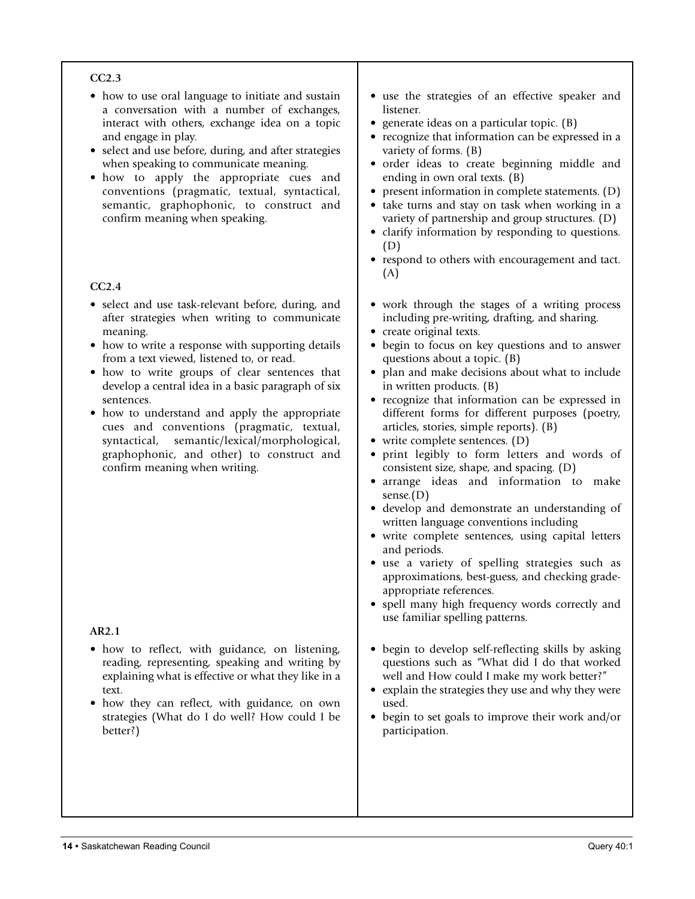#### **CC2.3**

- how to use oral language to initiate and sustain a conversation with a number of exchanges, interact with others, exchange idea on a topic and engage in play.
- select and use before, during, and after strategies when speaking to communicate meaning.
- how to apply the appropriate cues and conventions (pragmatic, textual, syntactical, semantic, graphophonic, to construct and confirm meaning when speaking.

#### **CC2.4**

- select and use task-relevant before, during, and after strategies when writing to communicate meaning.
- how to write a response with supporting details from a text viewed, listened to, or read.
- how to write groups of clear sentences that develop a central idea in a basic paragraph of six sentences.
- how to understand and apply the appropriate cues and conventions (pragmatic, textual, syntactical, semantic/lexical/morphological, graphophonic, and other) to construct and confirm meaning when writing.

#### **AR2.1**

- how to reflect, with guidance, on listening, reading, representing, speaking and writing by explaining what is effective or what they like in a text.
- how they can reflect, with guidance, on own strategies (What do I do well? How could I be better?)
- use the strategies of an effective speaker and listener.
- generate ideas on a particular topic. (B)
- recognize that information can be expressed in a variety of forms. (B)
- order ideas to create beginning middle and ending in own oral texts. (B)
- present information in complete statements. (D)
- take turns and stay on task when working in a variety of partnership and group structures. (D)
- clarify information by responding to questions. (D)
- respond to others with encouragement and tact. (A)
- work through the stages of a writing process including pre-writing, drafting, and sharing.
- create original texts.
- begin to focus on key questions and to answer questions about a topic. (B)
- plan and make decisions about what to include in written products. (B)
- recognize that information can be expressed in different forms for different purposes (poetry, articles, stories, simple reports). (B)
- write complete sentences. (D)
- print legibly to form letters and words of consistent size, shape, and spacing. (D)
- arrange ideas and information to make sense.(D)
- develop and demonstrate an understanding of written language conventions including
- write complete sentences, using capital letters and periods.
- use a variety of spelling strategies such as approximations, best-guess, and checking gradeappropriate references.
- spell many high frequency words correctly and use familiar spelling patterns.
- begin to develop self-reflecting skills by asking questions such as "What did I do that worked well and How could I make my work better?"
- explain the strategies they use and why they were used.
- begin to set goals to improve their work and/or participation.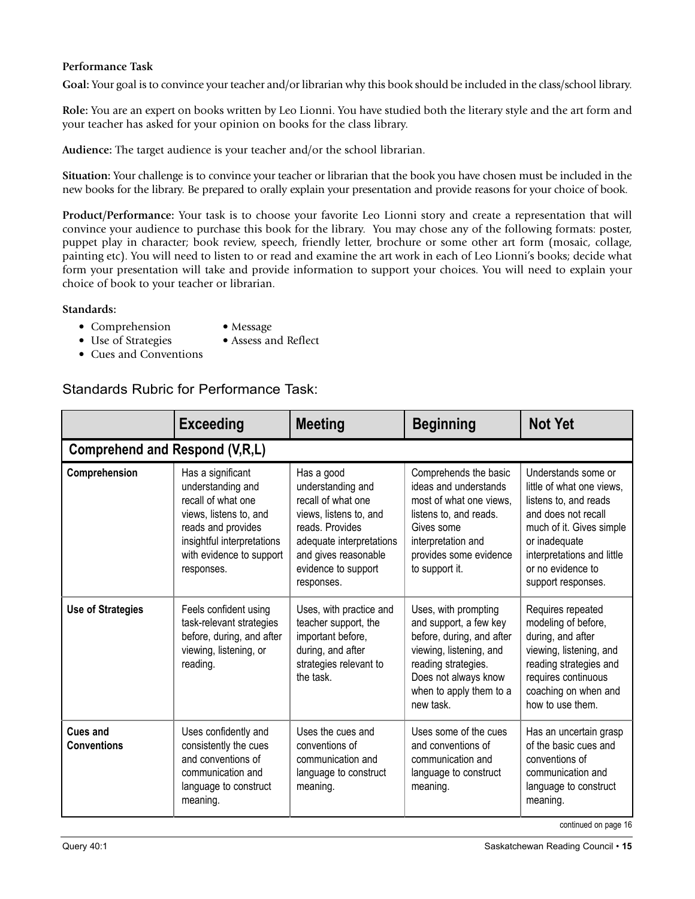#### **Performance Task**

**Goal:** Your goal is to convince your teacher and/or librarian why this book should be included in the class/school library.

**Role:** You are an expert on books written by Leo Lionni. You have studied both the literary style and the art form and your teacher has asked for your opinion on books for the class library.

**Audience:** The target audience is your teacher and/or the school librarian.

**Situation:** Your challenge is to convince your teacher or librarian that the book you have chosen must be included in the new books for the library. Be prepared to orally explain your presentation and provide reasons for your choice of book.

**Product/Performance:** Your task is to choose your favorite Leo Lionni story and create a representation that will convince your audience to purchase this book for the library. You may chose any of the following formats: poster, puppet play in character; book review, speech, friendly letter, brochure or some other art form (mosaic, collage, painting etc). You will need to listen to or read and examine the art work in each of Leo Lionni's books; decide what form your presentation will take and provide information to support your choices. You will need to explain your choice of book to your teacher or librarian.

#### **Standards:**

- Comprehension Message
	-
- Use of Strategies Assess and Reflect
- Cues and Conventions

#### Standards Rubric for Performance Task:

|                                | <b>Exceeding</b>                                                                                                                                                                     | <b>Meeting</b>                                                                                                                                                                              | <b>Beginning</b>                                                                                                                                                                              | <b>Not Yet</b>                                                                                                                                                                                                         |
|--------------------------------|--------------------------------------------------------------------------------------------------------------------------------------------------------------------------------------|---------------------------------------------------------------------------------------------------------------------------------------------------------------------------------------------|-----------------------------------------------------------------------------------------------------------------------------------------------------------------------------------------------|------------------------------------------------------------------------------------------------------------------------------------------------------------------------------------------------------------------------|
| Comprehend and Respond (V,R,L) |                                                                                                                                                                                      |                                                                                                                                                                                             |                                                                                                                                                                                               |                                                                                                                                                                                                                        |
| Comprehension                  | Has a significant<br>understanding and<br>recall of what one<br>views, listens to, and<br>reads and provides<br>insightful interpretations<br>with evidence to support<br>responses. | Has a good<br>understanding and<br>recall of what one<br>views, listens to, and<br>reads. Provides<br>adequate interpretations<br>and gives reasonable<br>evidence to support<br>responses. | Comprehends the basic<br>ideas and understands<br>most of what one views.<br>listens to, and reads.<br>Gives some<br>interpretation and<br>provides some evidence<br>to support it.           | Understands some or<br>little of what one views.<br>listens to, and reads<br>and does not recall<br>much of it. Gives simple<br>or inadequate<br>interpretations and little<br>or no evidence to<br>support responses. |
| <b>Use of Strategies</b>       | Feels confident using<br>task-relevant strategies<br>before, during, and after<br>viewing, listening, or<br>reading.                                                                 | Uses, with practice and<br>teacher support, the<br>important before,<br>during, and after<br>strategies relevant to<br>the task.                                                            | Uses, with prompting<br>and support, a few key<br>before, during, and after<br>viewing, listening, and<br>reading strategies.<br>Does not always know<br>when to apply them to a<br>new task. | Requires repeated<br>modeling of before,<br>during, and after<br>viewing, listening, and<br>reading strategies and<br>requires continuous<br>coaching on when and<br>how to use them.                                  |
| Cues and<br><b>Conventions</b> | Uses confidently and<br>consistently the cues<br>and conventions of<br>communication and<br>language to construct<br>meaning.                                                        | Uses the cues and<br>conventions of<br>communication and<br>language to construct<br>meaning.                                                                                               | Uses some of the cues<br>and conventions of<br>communication and<br>language to construct<br>meaning.                                                                                         | Has an uncertain grasp<br>of the basic cues and<br>conventions of<br>communication and<br>language to construct<br>meaning.                                                                                            |

continued on page 16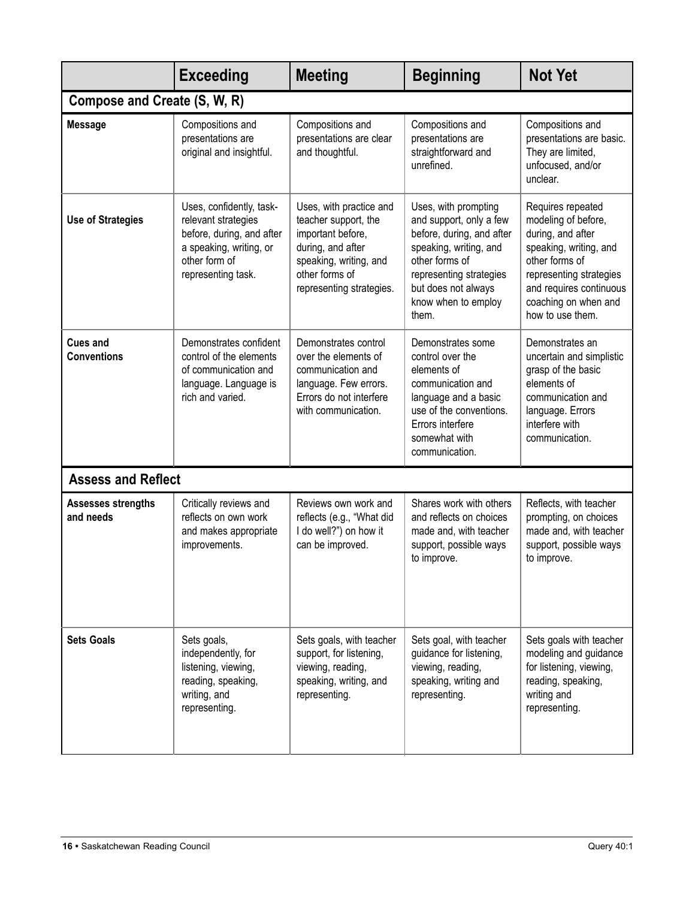|                                       | <b>Exceeding</b>                                                                                                                               | <b>Meeting</b>                                                                                                                                                    | <b>Beginning</b>                                                                                                                                                                                           | <b>Not Yet</b>                                                                                                                                                                                              |  |
|---------------------------------------|------------------------------------------------------------------------------------------------------------------------------------------------|-------------------------------------------------------------------------------------------------------------------------------------------------------------------|------------------------------------------------------------------------------------------------------------------------------------------------------------------------------------------------------------|-------------------------------------------------------------------------------------------------------------------------------------------------------------------------------------------------------------|--|
| Compose and Create (S, W, R)          |                                                                                                                                                |                                                                                                                                                                   |                                                                                                                                                                                                            |                                                                                                                                                                                                             |  |
| <b>Message</b>                        | Compositions and<br>presentations are<br>original and insightful.                                                                              | Compositions and<br>presentations are clear<br>and thoughtful.                                                                                                    | Compositions and<br>presentations are<br>straightforward and<br>unrefined.                                                                                                                                 | Compositions and<br>presentations are basic.<br>They are limited,<br>unfocused, and/or<br>unclear.                                                                                                          |  |
| <b>Use of Strategies</b>              | Uses, confidently, task-<br>relevant strategies<br>before, during, and after<br>a speaking, writing, or<br>other form of<br>representing task. | Uses, with practice and<br>teacher support, the<br>important before,<br>during, and after<br>speaking, writing, and<br>other forms of<br>representing strategies. | Uses, with prompting<br>and support, only a few<br>before, during, and after<br>speaking, writing, and<br>other forms of<br>representing strategies<br>but does not always<br>know when to employ<br>them. | Requires repeated<br>modeling of before,<br>during, and after<br>speaking, writing, and<br>other forms of<br>representing strategies<br>and requires continuous<br>coaching on when and<br>how to use them. |  |
| <b>Cues and</b><br><b>Conventions</b> | Demonstrates confident<br>control of the elements<br>of communication and<br>language. Language is<br>rich and varied.                         | Demonstrates control<br>over the elements of<br>communication and<br>language. Few errors.<br>Errors do not interfere<br>with communication.                      | Demonstrates some<br>control over the<br>elements of<br>communication and<br>language and a basic<br>use of the conventions.<br>Errors interfere<br>somewhat with<br>communication.                        | Demonstrates an<br>uncertain and simplistic<br>grasp of the basic<br>elements of<br>communication and<br>language. Errors<br>interfere with<br>communication.                                               |  |
| <b>Assess and Reflect</b>             |                                                                                                                                                |                                                                                                                                                                   |                                                                                                                                                                                                            |                                                                                                                                                                                                             |  |
| Assesses strengths<br>and needs       | Critically reviews and<br>reflects on own work<br>and makes appropriate<br>improvements.                                                       | Reviews own work and<br>reflects (e.g., "What did<br>I do well?") on how it<br>can be improved.                                                                   | Shares work with others<br>and reflects on choices<br>made and, with teacher<br>support, possible ways<br>to improve.                                                                                      | Reflects, with teacher<br>prompting, on choices<br>made and, with teacher<br>support, possible ways<br>to improve.                                                                                          |  |
| <b>Sets Goals</b>                     | Sets goals,<br>independently, for<br>listening, viewing,<br>reading, speaking,<br>writing, and<br>representing.                                | Sets goals, with teacher<br>support, for listening,<br>viewing, reading,<br>speaking, writing, and<br>representing.                                               | Sets goal, with teacher<br>guidance for listening,<br>viewing, reading,<br>speaking, writing and<br>representing.                                                                                          | Sets goals with teacher<br>modeling and guidance<br>for listening, viewing,<br>reading, speaking,<br>writing and<br>representing.                                                                           |  |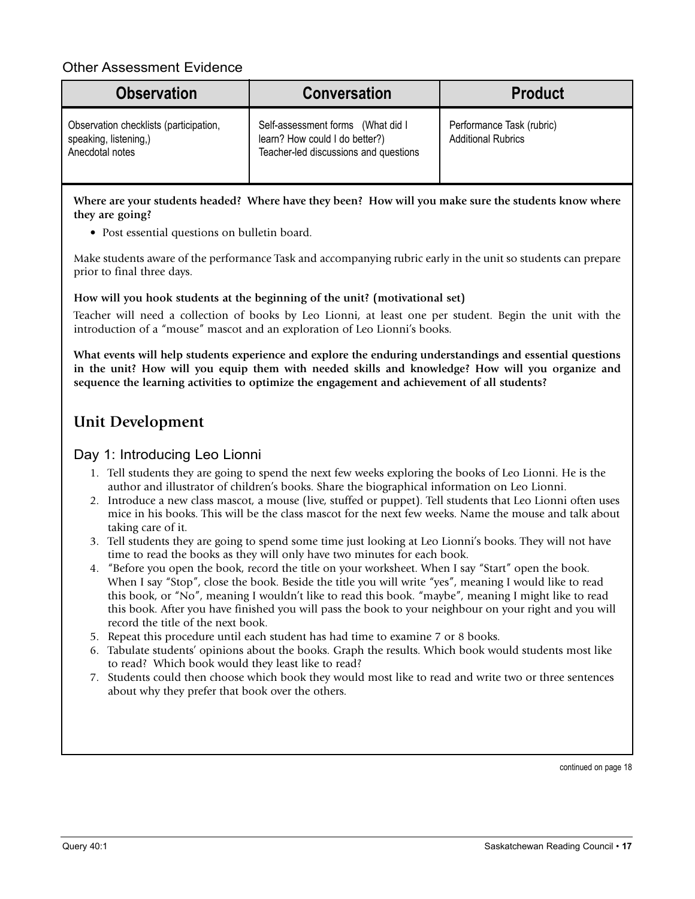#### Other Assessment Evidence

| <b>Observation</b>                                                                 | <b>Conversation</b>                                                                                          | <b>Product</b>                                         |
|------------------------------------------------------------------------------------|--------------------------------------------------------------------------------------------------------------|--------------------------------------------------------|
| Observation checklists (participation,<br>speaking, listening,)<br>Anecdotal notes | Self-assessment forms (What did I<br>learn? How could I do better?)<br>Teacher-led discussions and questions | Performance Task (rubric)<br><b>Additional Rubrics</b> |

Where are your students headed? Where have they been? How will you make sure the students know where **they are going?**

• Post essential questions on bulletin board.

Make students aware of the performance Task and accompanying rubric early in the unit so students can prepare prior to final three days.

**How will you hook students at the beginning of the unit? (motivational set)**

Teacher will need a collection of books by Leo Lionni, at least one per student. Begin the unit with the introduction of a "mouse" mascot and an exploration of Leo Lionni's books.

**What events will help students experience and explore the enduring understandings and essential questions in the unit? How will you equip them with needed skills and knowledge? How will you organize and sequence the learning activities to optimize the engagement and achievement of all students?**

### **Unit Development**

#### Day 1: Introducing Leo Lionni

- 1. Tell students they are going to spend the next few weeks exploring the books of Leo Lionni. He is the author and illustrator of children's books. Share the biographical information on Leo Lionni.
- 2. Introduce a new class mascot, a mouse (live, stuffed or puppet). Tell students that Leo Lionni often uses mice in his books. This will be the class mascot for the next few weeks. Name the mouse and talk about taking care of it.
- 3. Tell students they are going to spend some time just looking at Leo Lionni's books. They will not have time to read the books as they will only have two minutes for each book.
- 4. "Before you open the book, record the title on your worksheet. When I say "Start" open the book. When I say "Stop", close the book. Beside the title you will write "yes", meaning I would like to read this book, or "No", meaning I wouldn't like to read this book. "maybe", meaning I might like to read this book. After you have finished you will pass the book to your neighbour on your right and you will record the title of the next book.
- 5. Repeat this procedure until each student has had time to examine 7 or 8 books.
- 6. Tabulate students' opinions about the books. Graph the results. Which book would students most like to read? Which book would they least like to read?
- 7. Students could then choose which book they would most like to read and write two or three sentences about why they prefer that book over the others.

continued on page 18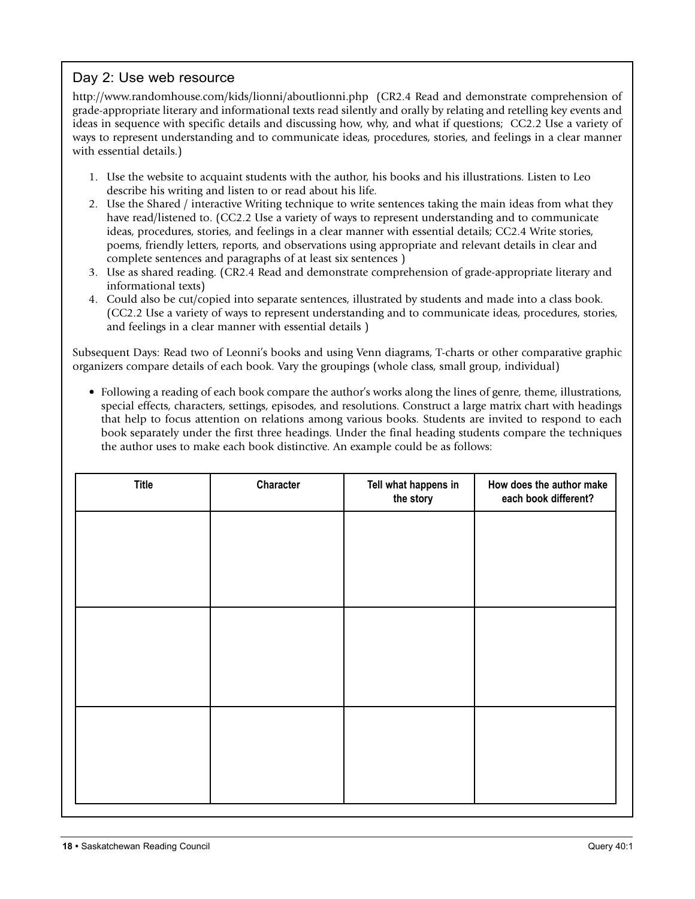#### Day 2: Use web resource

http://www.randomhouse.com/kids/lionni/aboutlionni.php (CR2.4 Read and demonstrate comprehension of grade-appropriate literary and informational texts read silently and orally by relating and retelling key events and ideas in sequence with specific details and discussing how, why, and what if questions; CC2.2 Use a variety of ways to represent understanding and to communicate ideas, procedures, stories, and feelings in a clear manner with essential details.)

- 1. Use the website to acquaint students with the author, his books and his illustrations. Listen to Leo describe his writing and listen to or read about his life.
- 2. Use the Shared / interactive Writing technique to write sentences taking the main ideas from what they have read/listened to. (CC2.2 Use a variety of ways to represent understanding and to communicate ideas, procedures, stories, and feelings in a clear manner with essential details; CC2.4 Write stories, poems, friendly letters, reports, and observations using appropriate and relevant details in clear and complete sentences and paragraphs of at least six sentences )
- 3. Use as shared reading. (CR2.4 Read and demonstrate comprehension of grade-appropriate literary and informational texts)
- 4. Could also be cut/copied into separate sentences, illustrated by students and made into a class book. (CC2.2 Use a variety of ways to represent understanding and to communicate ideas, procedures, stories, and feelings in a clear manner with essential details )

Subsequent Days: Read two of Leonni's books and using Venn diagrams, T-charts or other comparative graphic organizers compare details of each book. Vary the groupings (whole class, small group, individual)

• Following a reading of each book compare the author's works along the lines of genre, theme, illustrations, special effects, characters, settings, episodes, and resolutions. Construct a large matrix chart with headings that help to focus attention on relations among various books. Students are invited to respond to each book separately under the first three headings. Under the final heading students compare the techniques the author uses to make each book distinctive. An example could be as follows:

| <b>Title</b> | Character | Tell what happens in<br>the story | How does the author make<br>each book different? |
|--------------|-----------|-----------------------------------|--------------------------------------------------|
|              |           |                                   |                                                  |
|              |           |                                   |                                                  |
|              |           |                                   |                                                  |
|              |           |                                   |                                                  |
|              |           |                                   |                                                  |
|              |           |                                   |                                                  |
|              |           |                                   |                                                  |
|              |           |                                   |                                                  |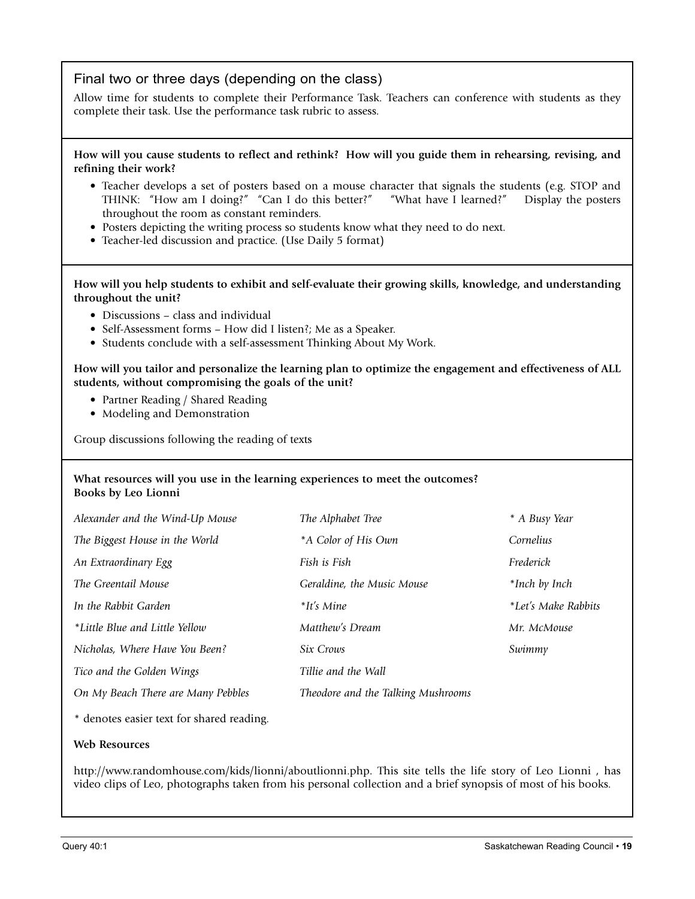#### Final two or three days (depending on the class)

Allow time for students to complete their Performance Task. Teachers can conference with students as they complete their task. Use the performance task rubric to assess.

How will you cause students to reflect and rethink? How will you guide them in rehearsing, revising, and **refining their work?**

- Teacher develops a set of posters based on a mouse character that signals the students (e.g. STOP and THINK: "How am I doing?" "Can I do this better?" "What have I learned?" Display the posters throughout the room as constant reminders.
- Posters depicting the writing process so students know what they need to do next.
- Teacher-led discussion and practice. (Use Daily 5 format)

**How will you help students to exhibit and self-evaluate their growing skills, knowledge, and understanding throughout the unit?**

- Discussions class and individual
- Self-Assessment forms How did I listen?; Me as a Speaker.
- Students conclude with a self-assessment Thinking About My Work.

**How will you tailor and personalize the learning plan to optimize the engagement and effectiveness of ALL students, without compromising the goals of the unit?**

- Partner Reading / Shared Reading
- Modeling and Demonstration

Group discussions following the reading of texts

#### **What resources will you use in the learning experiences to meet the outcomes? Books by Leo Lionni**

| Alexander and the Wind-Up Mouse    | The Alphabet Tree                  | * A Busy Year       |
|------------------------------------|------------------------------------|---------------------|
| The Biggest House in the World     | *A Color of His Own                | Cornelius           |
| An Extraordinary Egg               | Fish is Fish                       | Frederick           |
| The Greentail Mouse                | Geraldine, the Music Mouse         | *Inch by Inch       |
| In the Rabbit Garden               | $*$ It's Mine                      | *Let's Make Rabbits |
| *Little Blue and Little Yellow     | Matthew's Dream                    | Mr. McMouse         |
| Nicholas, Where Have You Been?     | Six Crows                          | Swimmy              |
| Tico and the Golden Wings          | Tillie and the Wall                |                     |
| On My Beach There are Many Pebbles | Theodore and the Talking Mushrooms |                     |
|                                    |                                    |                     |

\* denotes easier text for shared reading.

#### **Web Resources**

http://www.randomhouse.com/kids/lionni/aboutlionni.php. This site tells the life story of Leo Lionni , has video clips of Leo, photographs taken from his personal collection and a brief synopsis of most of his books.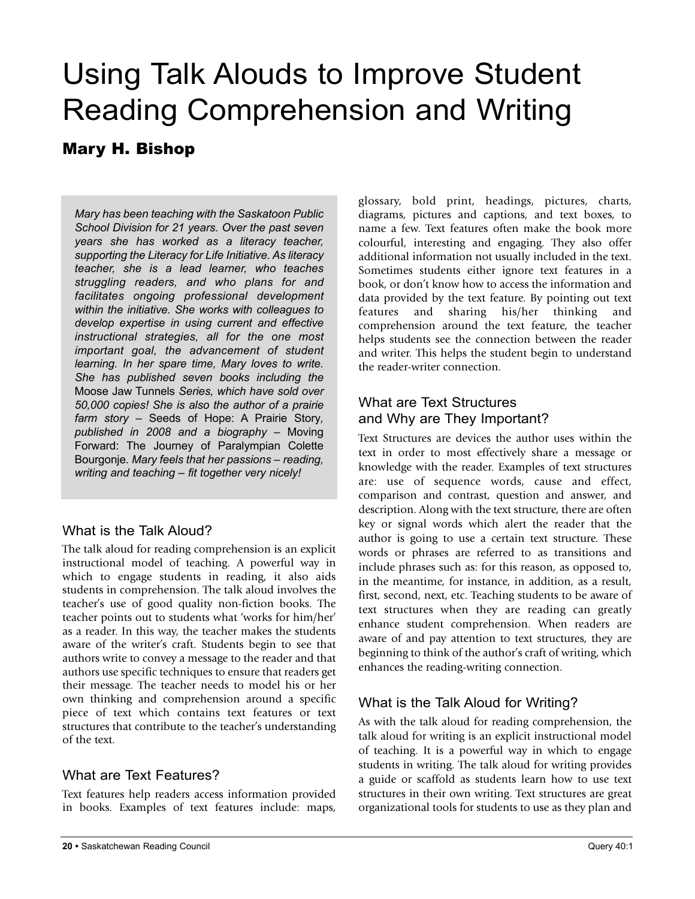## Using Talk Alouds to Improve Student Reading Comprehension and Writing

### Mary H. Bishop

*Mary has been teaching with the Saskatoon Public School Division for 21 years. Over the past seven years she has worked as a literacy teacher, supporting the Literacy for Life Initiative. As literacy teacher, she is a lead learner, who teaches struggling readers, and who plans for and facilitates ongoing professional development within the initiative. She works with colleagues to develop expertise in using current and effective instructional strategies, all for the one most important goal, the advancement of student learning. In her spare time, Mary loves to write. She has published seven books including the* Moose Jaw Tunnels *Series, which have sold over 50,000 copies! She is also the author of a prairie farm story –* Seeds of Hope: A Prairie Story*, published in 2008 and a biography –* Moving Forward: The Journey of Paralympian Colette Bourgonje*. Mary feels that her passions – reading, writing and teaching – fit together very nicely!*

#### What is the Talk Aloud?

The talk aloud for reading comprehension is an explicit instructional model of teaching. A powerful way in which to engage students in reading, it also aids students in comprehension. The talk aloud involves the teacher's use of good quality non-fiction books. The teacher points out to students what 'works for him/her' as a reader. In this way, the teacher makes the students aware of the writer's craft. Students begin to see that authors write to convey a message to the reader and that authors use specific techniques to ensure that readers get their message. The teacher needs to model his or her own thinking and comprehension around a specific piece of text which contains text features or text structures that contribute to the teacher's understanding of the text.

#### What are Text Features?

Text features help readers access information provided in books. Examples of text features include: maps,

glossary, bold print, headings, pictures, charts, diagrams, pictures and captions, and text boxes, to name a few. Text features often make the book more colourful, interesting and engaging. They also offer additional information not usually included in the text. Sometimes students either ignore text features in a book, or don't know how to access the information and data provided by the text feature. By pointing out text features and sharing his/her thinking and comprehension around the text feature, the teacher helps students see the connection between the reader and writer. This helps the student begin to understand the reader-writer connection.

#### What are Text Structures and Why are They Important?

Text Structures are devices the author uses within the text in order to most effectively share a message or knowledge with the reader. Examples of text structures are: use of sequence words, cause and effect, comparison and contrast, question and answer, and description. Along with the text structure, there are often key or signal words which alert the reader that the author is going to use a certain text structure. These words or phrases are referred to as transitions and include phrases such as: for this reason, as opposed to, in the meantime, for instance, in addition, as a result, first, second, next, etc. Teaching students to be aware of text structures when they are reading can greatly enhance student comprehension. When readers are aware of and pay attention to text structures, they are beginning to think of the author's craft of writing, which enhances the reading-writing connection.

#### What is the Talk Aloud for Writing?

As with the talk aloud for reading comprehension, the talk aloud for writing is an explicit instructional model of teaching. It is a powerful way in which to engage students in writing. The talk aloud for writing provides a guide or scaffold as students learn how to use text structures in their own writing. Text structures are great organizational tools for students to use as they plan and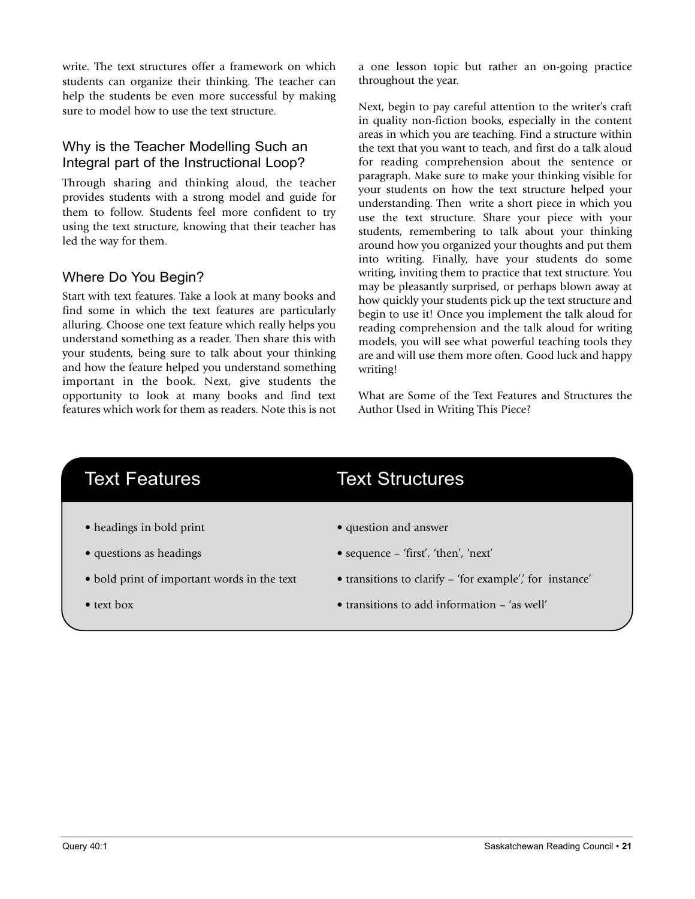write. The text structures offer a framework on which students can organize their thinking. The teacher can help the students be even more successful by making sure to model how to use the text structure.

#### Why is the Teacher Modelling Such an Integral part of the Instructional Loop?

Through sharing and thinking aloud, the teacher provides students with a strong model and guide for them to follow. Students feel more confident to try using the text structure, knowing that their teacher has led the way for them.

#### Where Do You Begin?

Start with text features. Take a look at many books and find some in which the text features are particularly alluring. Choose one text feature which really helps you understand something as a reader. Then share this with your students, being sure to talk about your thinking and how the feature helped you understand something important in the book. Next, give students the opportunity to look at many books and find text features which work for them as readers. Note this is not a one lesson topic but rather an on-going practice throughout the year.

Next, begin to pay careful attention to the writer's craft in quality non-fiction books, especially in the content areas in which you are teaching. Find a structure within the text that you want to teach, and first do a talk aloud for reading comprehension about the sentence or paragraph. Make sure to make your thinking visible for your students on how the text structure helped your understanding. Then write a short piece in which you use the text structure. Share your piece with your students, remembering to talk about your thinking around how you organized your thoughts and put them into writing. Finally, have your students do some writing, inviting them to practice that text structure. You may be pleasantly surprised, or perhaps blown away at how quickly your students pick up the text structure and begin to use it! Once you implement the talk aloud for reading comprehension and the talk aloud for writing models, you will see what powerful teaching tools they are and will use them more often. Good luck and happy writing!

What are Some of the Text Features and Structures the Author Used in Writing This Piece?

- headings in bold print question and answer
- 
- 
- 

### Text Features Text Structures

- 
- questions as headings sequence 'first', 'then', 'next'
- bold print of important words in the text transitions to clarify 'for example',' for instance'
- text box transitions to add information 'as well'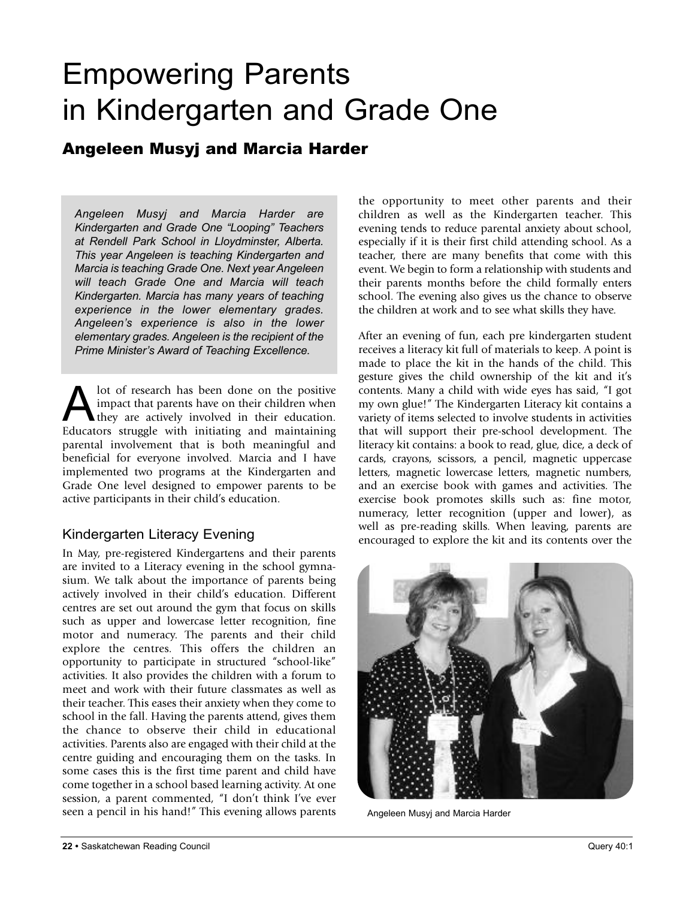## Empowering Parents in Kindergarten and Grade One

### Angeleen Musyj and Marcia Harder

*Angeleen Musyj and Marcia Harder are Kindergarten and Grade One "Looping" Teachers at Rendell Park School in Lloydminster, Alberta. This year Angeleen is teaching Kindergarten and Marcia is teaching Grade One. Next year Angeleen will teach Grade One and Marcia will teach Kindergarten. Marcia has many years of teaching experience in the lower elementary grades. Angeleen's experience is also in the lower elementary grades. Angeleen is the recipient of the Prime Minister's Award of Teaching Excellence.*

A lot of research has been done on the positive<br>impact that parents have on their children when<br>they are actively involved in their education. impact that parents have on their children when they are actively involved in their education. Educators struggle with initiating and maintaining parental involvement that is both meaningful and beneficial for everyone involved. Marcia and I have implemented two programs at the Kindergarten and Grade One level designed to empower parents to be active participants in their child's education.

#### Kindergarten Literacy Evening

In May, pre-registered Kindergartens and their parents are invited to a Literacy evening in the school gymnasium. We talk about the importance of parents being actively involved in their child's education. Different centres are set out around the gym that focus on skills such as upper and lowercase letter recognition, fine motor and numeracy. The parents and their child explore the centres. This offers the children an opportunity to participate in structured "school-like" activities. It also provides the children with a forum to meet and work with their future classmates as well as their teacher. This eases their anxiety when they come to school in the fall. Having the parents attend, gives them the chance to observe their child in educational activities. Parents also are engaged with their child at the centre guiding and encouraging them on the tasks. In some cases this is the first time parent and child have come together in a school based learning activity. At one session, a parent commented, "I don't think I've ever seen a pencil in his hand!" This evening allows parents the opportunity to meet other parents and their children as well as the Kindergarten teacher. This evening tends to reduce parental anxiety about school, especially if it is their first child attending school. As a teacher, there are many benefits that come with this event. We begin to form a relationship with students and their parents months before the child formally enters school. The evening also gives us the chance to observe the children at work and to see what skills they have.

After an evening of fun, each pre kindergarten student receives a literacy kit full of materials to keep. A point is made to place the kit in the hands of the child. This gesture gives the child ownership of the kit and it's contents. Many a child with wide eyes has said, "I got my own glue!" The Kindergarten Literacy kit contains a variety of items selected to involve students in activities that will support their pre-school development. The literacy kit contains: a book to read, glue, dice, a deck of cards, crayons, scissors, a pencil, magnetic uppercase letters, magnetic lowercase letters, magnetic numbers, and an exercise book with games and activities. The exercise book promotes skills such as: fine motor, numeracy, letter recognition (upper and lower), as well as pre-reading skills. When leaving, parents are encouraged to explore the kit and its contents over the



Angeleen Musyj and Marcia Harder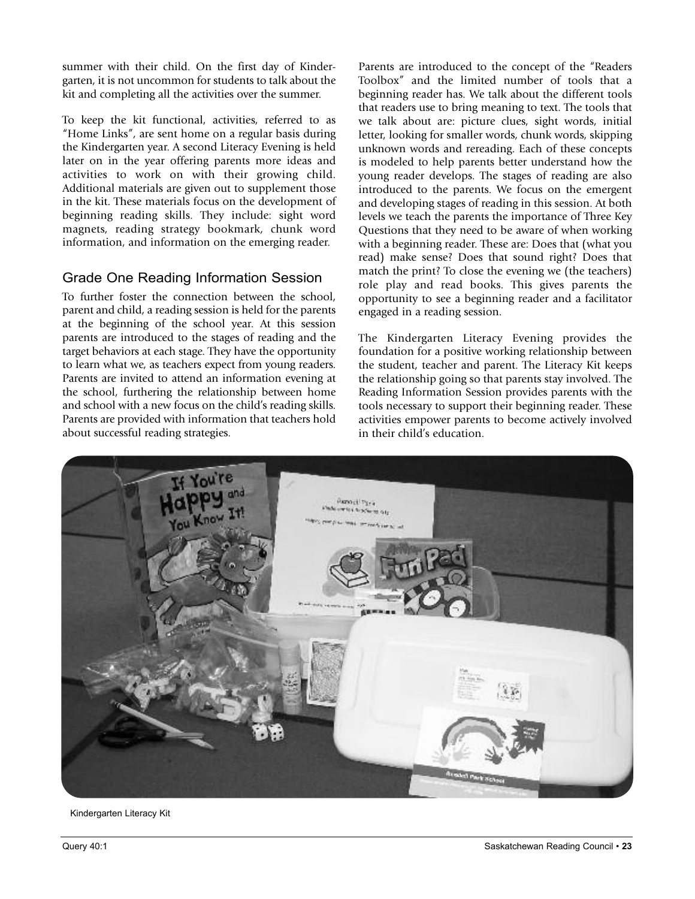summer with their child. On the first day of Kindergarten, it is not uncommon for students to talk about the kit and completing all the activities over the summer.

To keep the kit functional, activities, referred to as "Home Links", are sent home on a regular basis during the Kindergarten year. A second Literacy Evening is held later on in the year offering parents more ideas and activities to work on with their growing child. Additional materials are given out to supplement those in the kit. These materials focus on the development of beginning reading skills. They include: sight word magnets, reading strategy bookmark, chunk word information, and information on the emerging reader.

#### Grade One Reading Information Session

To further foster the connection between the school, parent and child, a reading session is held for the parents at the beginning of the school year. At this session parents are introduced to the stages of reading and the target behaviors at each stage. They have the opportunity to learn what we, as teachers expect from young readers. Parents are invited to attend an information evening at the school, furthering the relationship between home and school with a new focus on the child's reading skills. Parents are provided with information that teachers hold about successful reading strategies.

Parents are introduced to the concept of the "Readers Toolbox" and the limited number of tools that a beginning reader has. We talk about the different tools that readers use to bring meaning to text. The tools that we talk about are: picture clues, sight words, initial letter, looking for smaller words, chunk words, skipping unknown words and rereading. Each of these concepts is modeled to help parents better understand how the young reader develops. The stages of reading are also introduced to the parents. We focus on the emergent and developing stages of reading in this session. At both levels we teach the parents the importance of Three Key Questions that they need to be aware of when working with a beginning reader. These are: Does that (what you read) make sense? Does that sound right? Does that match the print? To close the evening we (the teachers) role play and read books. This gives parents the opportunity to see a beginning reader and a facilitator engaged in a reading session.

The Kindergarten Literacy Evening provides the foundation for a positive working relationship between the student, teacher and parent. The Literacy Kit keeps the relationship going so that parents stay involved. The Reading Information Session provides parents with the tools necessary to support their beginning reader. These activities empower parents to become actively involved in their child's education.



Kindergarten Literacy Kit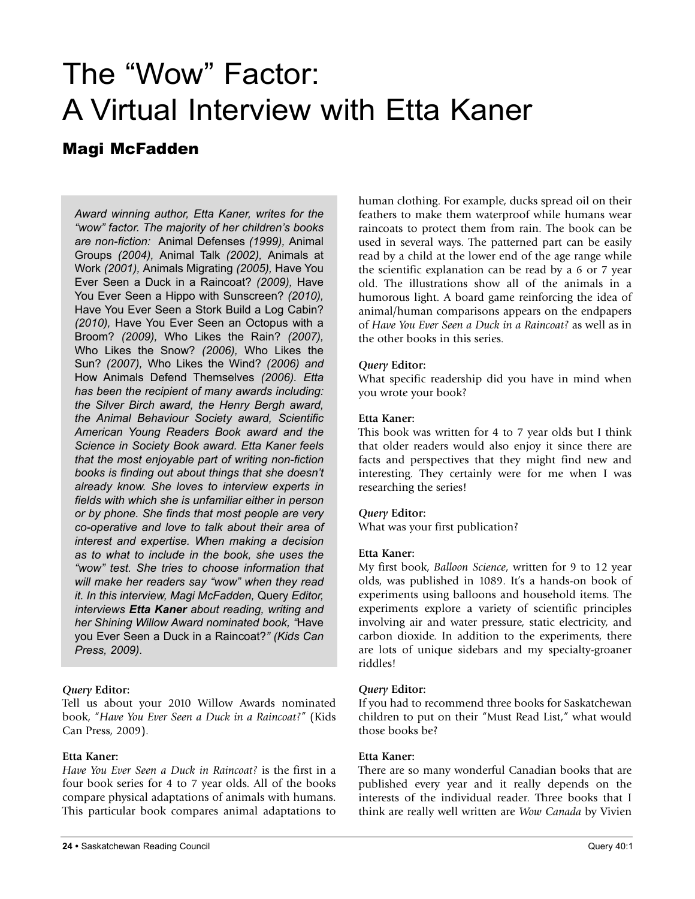## The "Wow" Factor: A Virtual Interview with Etta Kaner

### Magi McFadden

*Award winning author, Etta Kaner, writes for the "wow" factor. The majority of her children's books are non-fiction:* Animal Defenses *(1999),* Animal Groups *(2004),* Animal Talk *(2002),* Animals at Work *(2001),* Animals Migrating *(2005),* Have You Ever Seen a Duck in a Raincoat? *(2009),* Have You Ever Seen a Hippo with Sunscreen? *(2010),* Have You Ever Seen a Stork Build a Log Cabin? *(2010),* Have You Ever Seen an Octopus with a Broom? *(2009),* Who Likes the Rain? *(2007),* Who Likes the Snow? *(2006),* Who Likes the Sun? *(2007),* Who Likes the Wind? *(2006) and* How Animals Defend Themselves *(2006). Etta has been the recipient of many awards including: the Silver Birch award, the Henry Bergh award, the Animal Behaviour Society award, Scientific American Young Readers Book award and the Science in Society Book award. Etta Kaner feels that the most enjoyable part of writing non-fiction books is finding out about things that she doesn't already know. She loves to interview experts in fields with which she is unfamiliar either in person or by phone. She finds that most people are very co-operative and love to talk about their area of interest and expertise. When making a decision as to what to include in the book, she uses the "wow" test. She tries to choose information that will make her readers say "wow" when they read it. In this interview, Magi McFadden,* Query *Editor, interviews Etta Kaner about reading, writing and her Shining Willow Award nominated book, "*Have you Ever Seen a Duck in a Raincoat?*" (Kids Can Press, 2009).*

#### *Query* **Editor:**

Tell us about your 2010 Willow Awards nominated book, "*Have You Ever Seen a Duck in a Raincoat?*" (Kids Can Press, 2009).

#### **Etta Kaner:**

*Have You Ever Seen a Duck in Raincoat?* is the first in a four book series for 4 to 7 year olds. All of the books compare physical adaptations of animals with humans. This particular book compares animal adaptations to human clothing. For example, ducks spread oil on their feathers to make them waterproof while humans wear raincoats to protect them from rain. The book can be used in several ways. The patterned part can be easily read by a child at the lower end of the age range while the scientific explanation can be read by a 6 or 7 year old. The illustrations show all of the animals in a humorous light. A board game reinforcing the idea of animal/human comparisons appears on the endpapers of *Have You Ever Seen a Duck in a Raincoat?* as well as in the other books in this series.

#### *Query* **Editor:**

What specific readership did you have in mind when you wrote your book?

#### **Etta Kaner:**

This book was written for 4 to 7 year olds but I think that older readers would also enjoy it since there are facts and perspectives that they might find new and interesting. They certainly were for me when I was researching the series!

#### *Query* **Editor:**

What was your first publication?

#### **Etta Kaner:**

My first book, *Balloon Science*, written for 9 to 12 year olds, was published in 1089. It's a hands-on book of experiments using balloons and household items. The experiments explore a variety of scientific principles involving air and water pressure, static electricity, and carbon dioxide. In addition to the experiments, there are lots of unique sidebars and my specialty-groaner riddles!

#### *Query* **Editor:**

If you had to recommend three books for Saskatchewan children to put on their "Must Read List," what would those books be?

#### **Etta Kaner:**

There are so many wonderful Canadian books that are published every year and it really depends on the interests of the individual reader. Three books that I think are really well written are *Wow Canada* by Vivien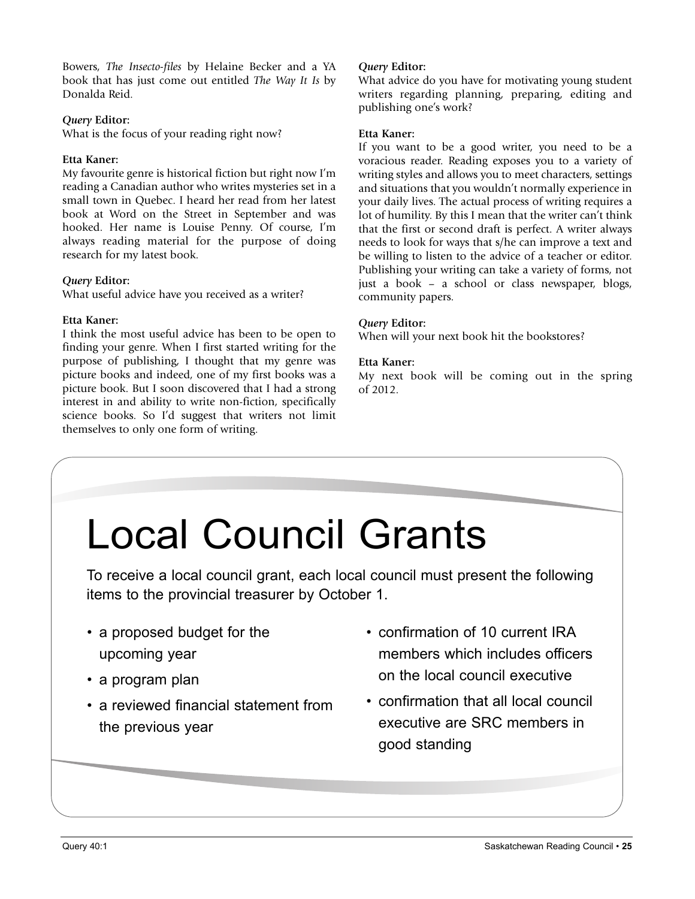Bowers, *The Insecto-files* by Helaine Becker and a YA book that has just come out entitled *The Way It Is* by Donalda Reid.

#### *Query* **Editor:**

What is the focus of your reading right now?

#### **Etta Kaner:**

My favourite genre is historical fiction but right now I'm reading a Canadian author who writes mysteries set in a small town in Quebec. I heard her read from her latest book at Word on the Street in September and was hooked. Her name is Louise Penny. Of course, I'm always reading material for the purpose of doing research for my latest book.

#### *Query* **Editor:**

What useful advice have you received as a writer?

#### **Etta Kaner:**

I think the most useful advice has been to be open to finding your genre. When I first started writing for the purpose of publishing, I thought that my genre was picture books and indeed, one of my first books was a picture book. But I soon discovered that I had a strong interest in and ability to write non-fiction, specifically science books. So I'd suggest that writers not limit themselves to only one form of writing.

#### *Query* **Editor:**

What advice do you have for motivating young student writers regarding planning, preparing, editing and publishing one's work?

#### **Etta Kaner:**

If you want to be a good writer, you need to be a voracious reader. Reading exposes you to a variety of writing styles and allows you to meet characters, settings and situations that you wouldn't normally experience in your daily lives. The actual process of writing requires a lot of humility. By this I mean that the writer can't think that the first or second draft is perfect. A writer always needs to look for ways that s/he can improve a text and be willing to listen to the advice of a teacher or editor. Publishing your writing can take a variety of forms, not just a book – a school or class newspaper, blogs, community papers.

#### *Query* **Editor:**

When will your next book hit the bookstores?

#### **Etta Kaner:**

My next book will be coming out in the spring of 2012.

# Local Council Grants

To receive a local council grant, each local council must present the following items to the provincial treasurer by October 1.

- a proposed budget for the upcoming year
- a program plan
- a reviewed financial statement from the previous year
- confirmation of 10 current IRA members which includes officers on the local council executive
- confirmation that all local council executive are SRC members in good standing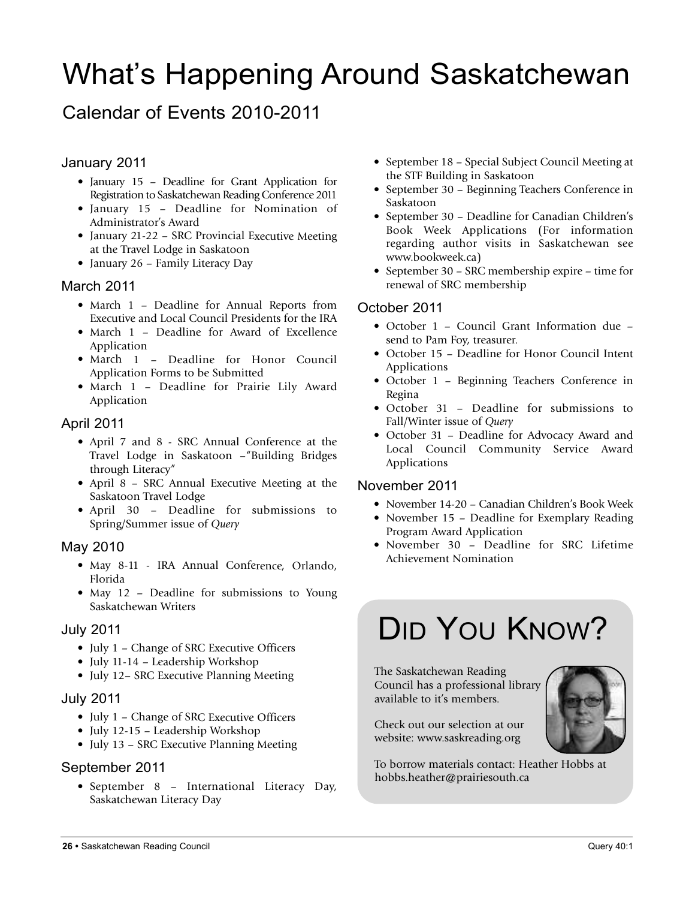## What's Happening Around Saskatchewan

## Calendar of Events 2010-2011

#### January 2011

- January 15 Deadline for Grant Application for Registration to Saskatchewan Reading Conference 2011
- January 15 Deadline for Nomination of Administrator's Award
- January 21-22 SRC Provincial Executive Meeting at the Travel Lodge in Saskatoon
- January <sup>26</sup> Family Literacy Day

#### March 2011

- March <sup>1</sup> Deadline for Annual Reports from Executive and Local Council Presidents for the IRA
- March 1 Deadline for Award of Excellence Application
- March 1 Deadline for Honor Council Application Forms to be Submitted
- March <sup>1</sup> Deadline for Prairie Lily Award Application

#### April 2011

- April <sup>7</sup> and <sup>8</sup> SRC Annual Conference at the Travel Lodge in Saskatoon –"Building Bridges through Literacy"
- April <sup>8</sup> SRC Annual Executive Meeting at the Saskatoon Travel Lodge
- April <sup>30</sup> Deadline for submissions to Spring/Summer issue of *Query*

#### May 2010

- May 8-11 IRA Annual Conference, Orlando, Florida
- May <sup>12</sup> Deadline for submissions to Young Saskatchewan Writers

#### July 2011

- July <sup>1</sup> Change of SRC Executive Officers
- July 11-14 Leadership Workshop
- July 12– SRC Executive Planning Meeting

#### July 2011

- July <sup>1</sup> Change of SRC Executive Officers
- July 12-15 Leadership Workshop
- July <sup>13</sup> SRC Executive Planning Meeting

#### September 2011

• September <sup>8</sup> – International Literacy Day, Saskatchewan Literacy Day

- September 18 Special Subject Council Meeting at the STF Building in Saskatoon
- September 30 Beginning Teachers Conference in Saskatoon
- September 30 Deadline for Canadian Children's Book Week Applications (For information regarding author visits in Saskatchewan see www.bookweek.ca)
- September 30 SRC membership expire time for renewal of SRC membership

#### October 2011

- October 1 Council Grant Information due send to Pam Foy, treasurer.
- October 15 Deadline for Honor Council Intent Applications
- October 1 Beginning Teachers Conference in Regina
- October 31 Deadline for submissions to Fall/Winter issue of *Query*
- October 31 Deadline for Advocacy Award and Local Council Community Service Award Applications

#### November 2011

- November 14-20 Canadian Children's Book Week
- November 15 Deadline for Exemplary Reading Program Award Application
- November 30 Deadline for SRC Lifetime Achievement Nomination

## DID YOU KNOW?

The Saskatchewan Reading Council has a professional library available to it's members.

Check out our selection at our website: www.saskreading.org

To borrow materials contact: Heather Hobbs at hobbs.heather@prairiesouth.ca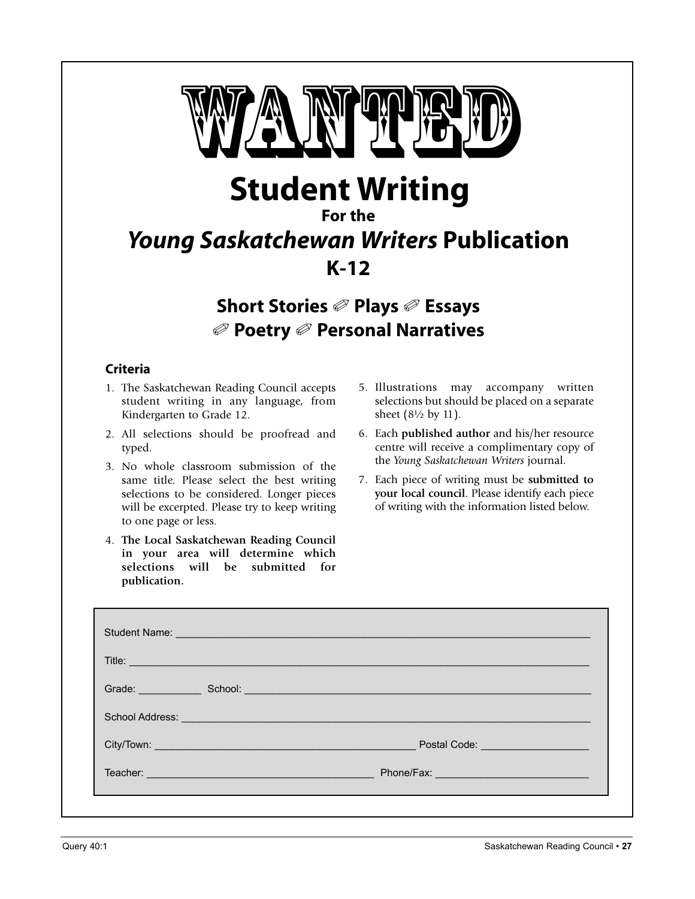

**Student Writing**

#### **For the**

## *Young Saskatchewan Writers* **Publication K-12**

**Short Stories** ✐ **Plays** ✐ **Essays** ✐ **Poetry** ✐ **Personal Narratives**

#### **Criteria**

- 1. The Saskatchewan Reading Council accepts student writing in any language, from Kindergarten to Grade 12.
- 2. All selections should be proofread and typed.
- 3. No whole classroom submission of the same title. Please select the best writing selections to be considered. Longer pieces will be excerpted. Please try to keep writing to one page or less.
- 4. **The Local Saskatchewan Reading Council in your area will determine which selections will be submitted for publication.**
- 5. Illustrations may accompany written selections but should be placed on a separate sheet (8½ by 11).
- 6. Each **published author** and his/her resource centre will receive a complimentary copy of the *Young Saskatchewan Writers* journal.
- 7. Each piece of writing must be **submitted to your local council**. Please identify each piece of writing with the information listed below.

| Title: <u>_______________</u>                                                                                  |                                                                                                                                                                                                                                |
|----------------------------------------------------------------------------------------------------------------|--------------------------------------------------------------------------------------------------------------------------------------------------------------------------------------------------------------------------------|
|                                                                                                                | Grade: School: School: School: School: School: School: School: School: School: School: School: School: School: School: School: School: School: School: School: School: School: School: School: School: School: School: School: |
| School Address: Value of Address and Address and Address and Address and Address and Address and Address and A |                                                                                                                                                                                                                                |
|                                                                                                                | Postal Code: <u>Department</u>                                                                                                                                                                                                 |
|                                                                                                                |                                                                                                                                                                                                                                |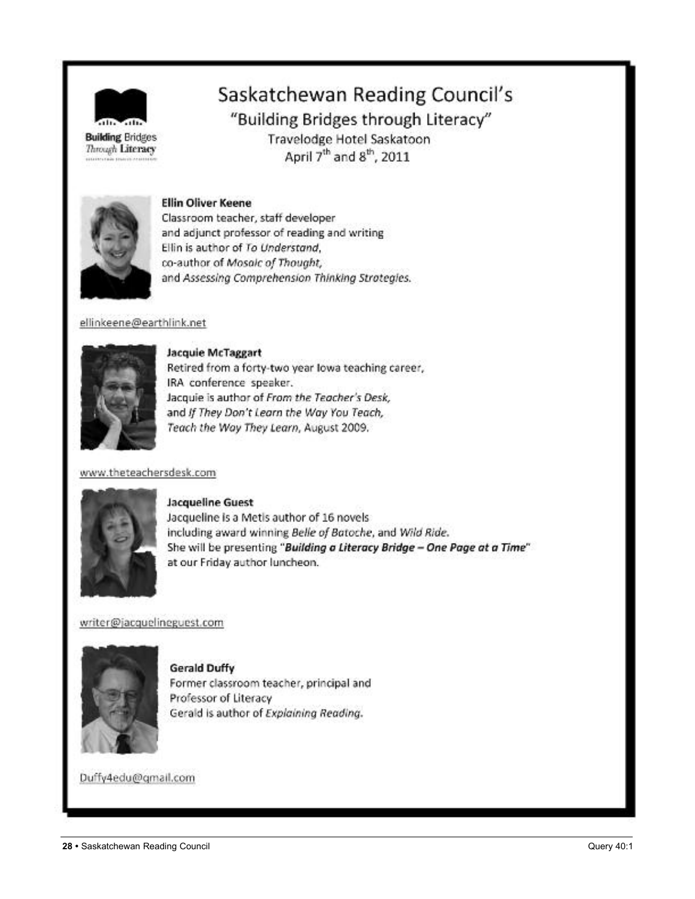

Through Literacy

Saskatchewan Reading Council's

"Building Bridges through Literacy"

Travelodge Hotel Saskatoon April 7<sup>th</sup> and 8<sup>th</sup>, 2011



#### **Ellin Oliver Keene**

Classroom teacher, staff developer and adjunct professor of reading and writing Ellin is author of To Understand, co-author of Mosaic of Thought, and Assessing Comprehension Thinking Strotegies.

#### ellinkeene@earthlink.net



**Jacquie McTaggart** Retired from a forty-two year lowa teaching career, IRA conference speaker. Jacquie is author of From the Teacher's Desk, and If They Don't Learn the Way You Teach, Teach the Way They Learn, August 2009.

#### www.theteachersdesk.com



#### **Jacqueline Guest**

Jacqueline is a Metis author of 16 novels including award winning Belle of Batoche, and Wild Ride. She will be presenting "Building a Literacy Bridge - One Page at a Time" at our Friday author luncheon.

#### writer@jacquelineguest.com



**Gerald Duffy** Former classroom teacher, principal and Professor of Literacy Gerald is author of Explaining Reading.

Duffy4edu@qmail.com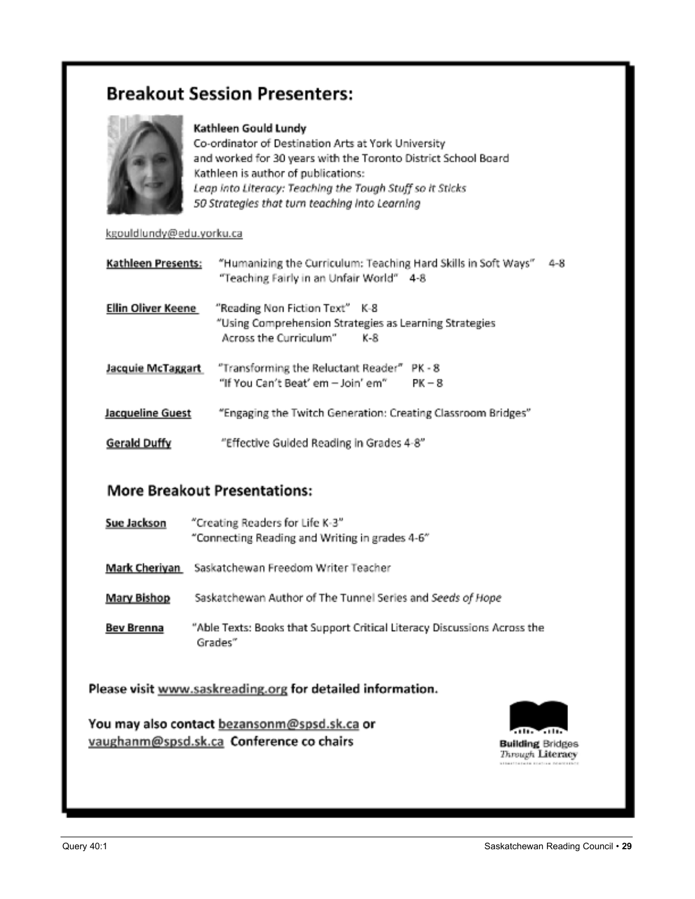## **Breakout Session Presenters:**



#### Kathleen Gould Lundy

Co-ordinator of Destination Arts at York University and worked for 30 years with the Toronto District School Board Kathleen is author of publications: Leap into Literacy: Teaching the Tough Stuff so it Sticks 50 Strategies that turn teaching into Learning

#### kgouldlundy@edu.yorku.ca

| Kathleen Presents:        | "Humanizing the Curriculum: Teaching Hard Skills in Soft Ways"<br>$4 - 8$<br>"Teaching Fairly in an Unfair World" 4-8     |
|---------------------------|---------------------------------------------------------------------------------------------------------------------------|
| <b>Ellin Oliver Keene</b> | "Reading Non Fiction Text" K-8<br>"Using Comprehension Strategies as Learning Strategies<br>Across the Curriculum"<br>K-R |
| Jacquie McTaggart         | "Transforming the Reluctant Reader"<br>PK - 8<br>"If You Can't Beat' em - Join' em"<br>$PK - 8$                           |
| Jacqueline Guest          | "Engaging the Twitch Generation: Creating Classroom Bridges"                                                              |
| Gerald Duffy              | "Effective Guided Reading in Grades 4-8"                                                                                  |

#### **More Breakout Presentations:**

| Sue Jackson        | "Creating Readers for Life K-3"<br>"Connecting Reading and Writing in grades 4-6"   |
|--------------------|-------------------------------------------------------------------------------------|
|                    | Mark Cheriyan Saskatchewan Freedom Writer Teacher                                   |
| <b>Mary Bishop</b> | Saskatchewan Author of The Tunnel Series and Seeds of Hope                          |
| <b>Bev Brenna</b>  | "Able Texts: Books that Support Critical Literacy Discussions Across the<br>Grades" |

Please visit www.saskreading.org for detailed information.

You may also contact bezansonm@spsd.sk.ca or vaughanm@spsd.sk.ca Conference co chairs

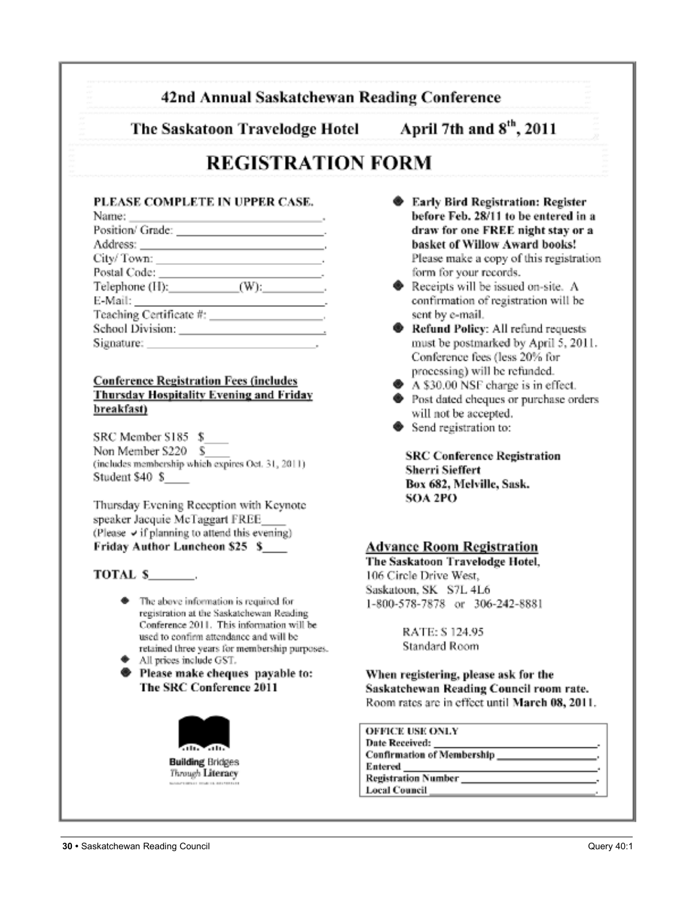#### 42nd Annual Saskatchewan Reading Conference

The Saskatoon Travelodge Hotel

April 7th and 8<sup>th</sup>, 2011

## **REGISTRATION FORM**

#### PLEASE COMPLETE IN UPPER CASE.

| Name: $\qquad \qquad$           |  |
|---------------------------------|--|
|                                 |  |
|                                 |  |
|                                 |  |
|                                 |  |
| Telephone $(H)$ : $(W)$ : $(W)$ |  |
|                                 |  |
|                                 |  |
|                                 |  |
| Signature: Signature:           |  |

#### **Conference Registration Fees (includes Thursday Hospitality Evening and Friday** breakfast)

SRC Member S185 \$ Non Member S220 \$ (includes membership which expires Oct. 31, 2011). Student \$40 \$

Thursday Evening Reception with Keynote speaker Jacquie McTaggart FREE (Please  $\vee$  if planning to attend this evening) Friday Author Luncheon \$25 \$

#### TOTAL S.

- The above information is required for registration at the Saskatchewan Reading Conference 2011. This information will be used to confirm attendance and will be retained three years for membership purposes.
- All prices include GST.
- **Example 19 Please make cheques payable to:** The SRC Conference 2011



- **Early Bird Registration: Register** before Feb. 28/11 to be entered in a draw for one FREE night stay or a basket of Willow Award books! Please make a copy of this registration form for your records.
- Receipts will be issued on-site. A confirmation of registration will be sent by e-mail.
- Refund Policy: All refund requests must be postmarked by April 5, 2011. Conference fees (less 20% for processing) will be refunded.
- A \$30.00 NSF charge is in effect.
- ♦ Post dated cheques or purchase orders will not be accepted.
- Send registration to:

**SRC Conference Registration Sherri Sieffert** Box 682, Melville, Sask. **SOA 2PO** 

#### **Advance Room Registration**

The Saskatoon Travelodge Hotel, 106 Circle Drive West, Saskatoon, SK S7L 4L6 1-800-578-7878 or 306-242-8881

> RATE: S 124.95 Standard Room

When registering, please ask for the Saskatchewan Reading Council room rate. Room rates are in effect until March 08, 2011.

| <b>OFFICE USE ONLY</b>                        |  |
|-----------------------------------------------|--|
|                                               |  |
| Confirmation of Membership _________________. |  |
| Entered                                       |  |
| <b>Registration Number</b>                    |  |
| <b>Local Council</b>                          |  |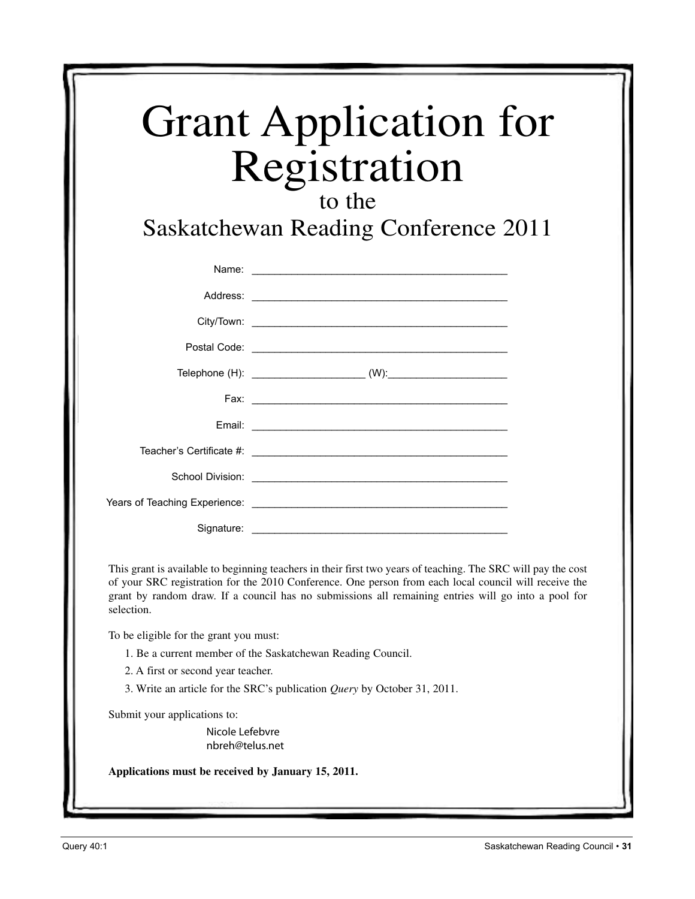| <b>Grant Application for</b> |  |
|------------------------------|--|
| Registration                 |  |

### to the

Saskatchewan Reading Conference 2011

|            | Name: <u>Alexander Alexander and Alexander Alexander and Alexander and Alexander and Alexander and Alexander and Alexander and Alexander and Alexander and Alexander and Alexander and Alexander and Alexander and Alexander and</u> |
|------------|--------------------------------------------------------------------------------------------------------------------------------------------------------------------------------------------------------------------------------------|
|            |                                                                                                                                                                                                                                      |
|            |                                                                                                                                                                                                                                      |
|            |                                                                                                                                                                                                                                      |
|            |                                                                                                                                                                                                                                      |
|            |                                                                                                                                                                                                                                      |
|            |                                                                                                                                                                                                                                      |
|            |                                                                                                                                                                                                                                      |
|            | School Division: <u>Contract of the Contract of the Contract of the Contract of the Contract of the Contract of the Contract of the Contract of the Contract of the Contract of the Contract of the Contract of the Contract of </u> |
|            |                                                                                                                                                                                                                                      |
| Signature: |                                                                                                                                                                                                                                      |

This grant is available to beginning teachers in their first two years of teaching. The SRC will pay the cost of your SRC registration for the 2010 Conference. One person from each local council will receive the grant by random draw. If a council has no submissions all remaining entries will go into a pool for selection.

To be eligible for the grant you must:

- 1. Be a current member of the Saskatchewan Reading Council.
- 2. A first or second year teacher.
- 3. Write an article for the SRC's publication *Query* by October 31, 2011.

Submit your applications to:

Nicole Lefebvre nbreh@telus.net

**Applications must be received by January 15, 2011.**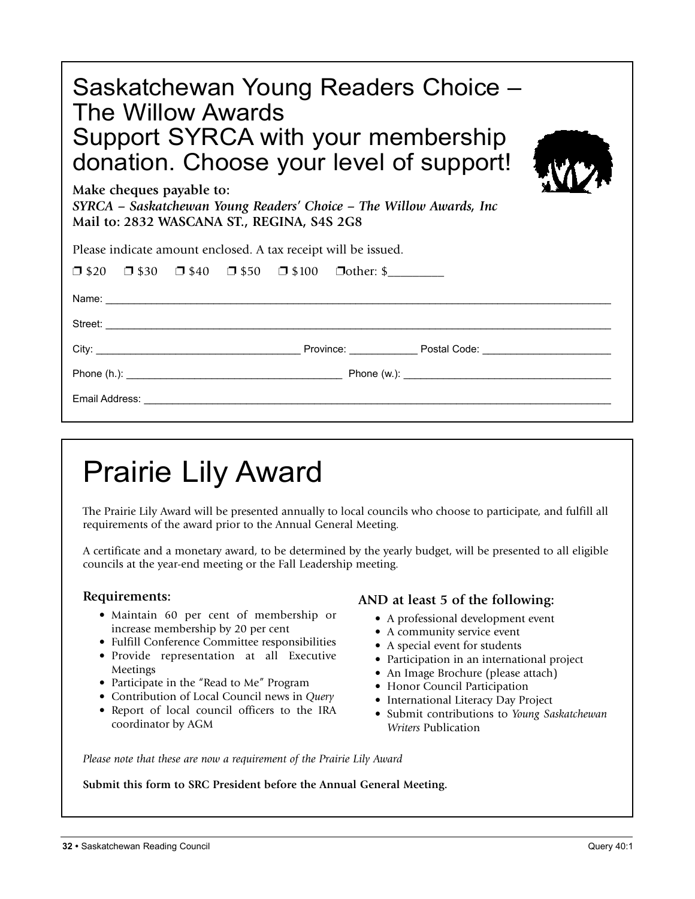| Saskatchewan Young Readers Choice -<br>The Willow Awards<br>Support SYRCA with your membership<br>donation. Choose your level of support!<br>Make cheques payable to:<br>SYRCA – Saskatchewan Young Readers' Choice – The Willow Awards, Inc<br>Mail to: 2832 WASCANA ST., REGINA, S4S 2G8 |  |
|--------------------------------------------------------------------------------------------------------------------------------------------------------------------------------------------------------------------------------------------------------------------------------------------|--|
| Please indicate amount enclosed. A tax receipt will be issued.                                                                                                                                                                                                                             |  |
| $\Box$ \$20 $\Box$ \$30 $\Box$ \$40 $\Box$ \$50 $\Box$ \$100 $\Box$ other: \$                                                                                                                                                                                                              |  |
|                                                                                                                                                                                                                                                                                            |  |
|                                                                                                                                                                                                                                                                                            |  |
|                                                                                                                                                                                                                                                                                            |  |
|                                                                                                                                                                                                                                                                                            |  |
|                                                                                                                                                                                                                                                                                            |  |
|                                                                                                                                                                                                                                                                                            |  |

## Prairie Lily Award

The Prairie Lily Award will be presented annually to local councils who choose to participate, and fulfill all requirements of the award prior to the Annual General Meeting.

A certificate and a monetary award, to be determined by the yearly budget, will be presented to all eligible councils at the year-end meeting or the Fall Leadership meeting.

#### **Requirements:**

- Maintain 60 per cent of membership or increase membership by 20 per cent
- Fulfill Conference Committee responsibilities
- Provide representation at all Executive Meetings
- Participate in the "Read to Me" Program
- Contribution of Local Council news in *Query*
- Report of local council officers to the IRA coordinator by AGM

#### **AND at least 5 of the following:**

- A professional development event
- A community service event
- A special event for students
- Participation in an international project
- An Image Brochure (please attach)
- Honor Council Participation
- International Literacy Day Project
- Submit contributions to *Young Saskatchewan Writers* Publication

*Please note that these are now a requirement of the Prairie Lily Award*

**Submit this form to SRC President before the Annual General Meeting.**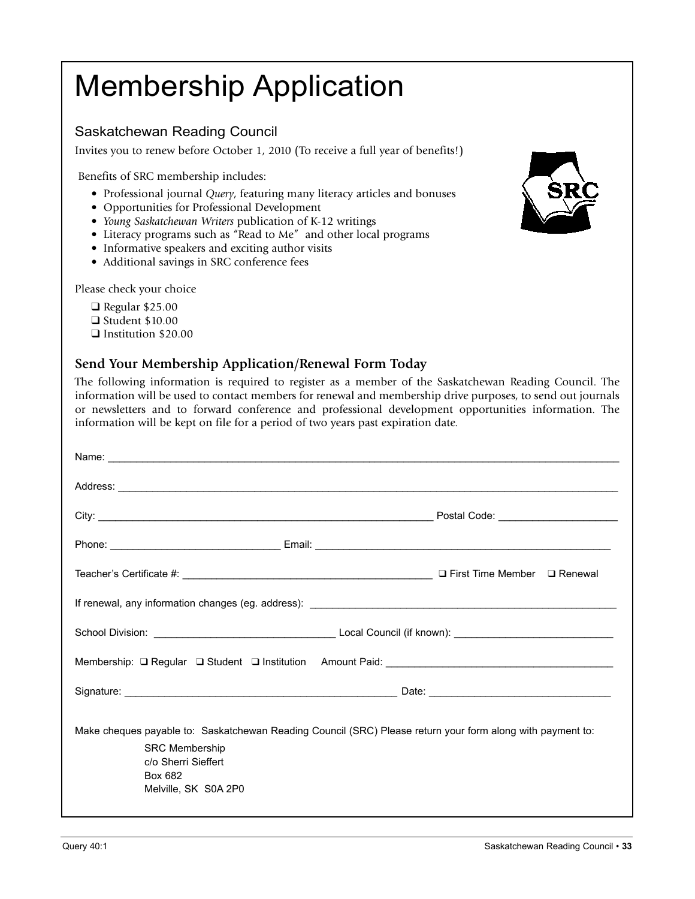## Membership Application

#### Saskatchewan Reading Council

Invites you to renew before October 1, 2010 (To receive a full year of benefits!)

Benefits of SRC membership includes:

- Professional journal *Query*, featuring many literacy articles and bonuses
- Opportunities for Professional Development
- *Young Saskatchewan Writers* publication of K-12 writings
- Literacy programs such as "Read to Me" and other local programs
- Informative speakers and exciting author visits
- Additional savings in SRC conference fees

Please check your choice

- $\Box$  Regular \$25.00  $\Box$  Student \$10.00
- **q** Institution \$20.00

#### **Send Your Membership Application/Renewal Form Today**

The following information is required to register as a member of the Saskatchewan Reading Council. The information will be used to contact members for renewal and membership drive purposes, to send out journals or newsletters and to forward conference and professional development opportunities information. The information will be kept on file for a period of two years past expiration date.

|                                                                                   | Address: <u>New York: Address: New York: New York: New York: New York: New York: New York: New York: New York: New York: New York: New York: New York: New York: New York: New York: New York: New York: New York: New York: New</u> |  |  |
|-----------------------------------------------------------------------------------|--------------------------------------------------------------------------------------------------------------------------------------------------------------------------------------------------------------------------------------|--|--|
|                                                                                   |                                                                                                                                                                                                                                      |  |  |
|                                                                                   |                                                                                                                                                                                                                                      |  |  |
|                                                                                   |                                                                                                                                                                                                                                      |  |  |
|                                                                                   |                                                                                                                                                                                                                                      |  |  |
|                                                                                   |                                                                                                                                                                                                                                      |  |  |
| Membership: □ Regular □ Student □ Institution Amount Paid: ______________________ |                                                                                                                                                                                                                                      |  |  |
|                                                                                   |                                                                                                                                                                                                                                      |  |  |
| <b>SRC Membership</b><br>c/o Sherri Sieffert<br>Box 682<br>Melville, SK S0A 2P0   | Make cheques payable to: Saskatchewan Reading Council (SRC) Please return your form along with payment to:                                                                                                                           |  |  |

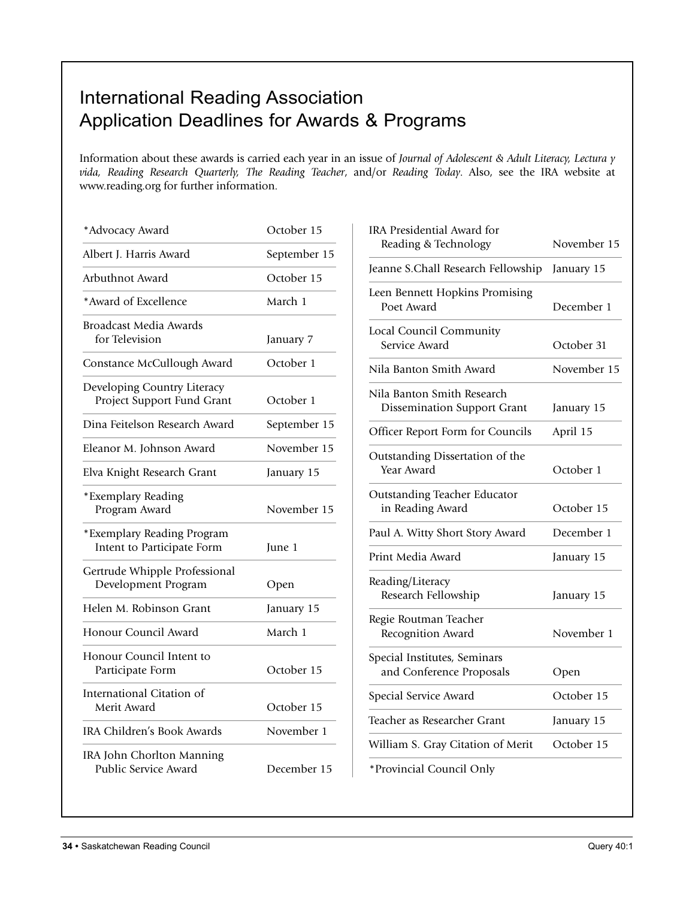## International Reading Association Application Deadlines for Awards & Programs

Information about these awards is carried each year in an issue of *Journal of Adolescent & Adult Literacy, Lectura y vida, Reading Research Quarterly, The Reading Teacher*, and/or *Reading Today*. Also, see the IRA website at www.reading.org for further information.

| *Advocacy Award                                           | October 15   |
|-----------------------------------------------------------|--------------|
| Albert J. Harris Award                                    | September 15 |
| Arbuthnot Award                                           | October 15   |
| *Award of Excellence                                      | March 1      |
| <b>Broadcast Media Awards</b><br>for Television           | January 7    |
| Constance McCullough Award                                | October 1    |
| Developing Country Literacy<br>Project Support Fund Grant | October 1    |
| Dina Feitelson Research Award                             | September 15 |
| Eleanor M. Johnson Award                                  | November 15  |
| Elva Knight Research Grant                                | January 15   |
| *Exemplary Reading<br>Program Award                       | November 15  |
| *Exemplary Reading Program<br>Intent to Participate Form  | June 1       |
| Gertrude Whipple Professional<br>Development Program      | Open         |
| Helen M. Robinson Grant                                   | January 15   |
| Honour Council Award                                      | March 1      |
| Honour Council Intent to<br>Participate Form              | October 15   |
| International Citation of<br>Merit Award                  | October 15   |
| <b>IRA Children's Book Awards</b>                         | November 1   |
| IRA John Chorlton Manning<br>Public Service Award         | December 15  |

| IRA Presidential Award for                                       |             |
|------------------------------------------------------------------|-------------|
| Reading & Technology                                             | November 15 |
| Jeanne S.Chall Research Fellowship                               | January 15  |
| Leen Bennett Hopkins Promising<br>Poet Award                     | December 1  |
| Local Council Community<br>Service Award                         | October 31  |
| Nila Banton Smith Award                                          | November 15 |
| Nila Banton Smith Research<br><b>Dissemination Support Grant</b> | January 15  |
| Officer Report Form for Councils                                 | April 15    |
| Outstanding Dissertation of the<br>Year Award                    | October 1   |
| <b>Outstanding Teacher Educator</b><br>in Reading Award          | October 15  |
| Paul A. Witty Short Story Award                                  | December 1  |
| Print Media Award                                                | January 15  |
| Reading/Literacy<br>Research Fellowship                          | January 15  |
| Regie Routman Teacher<br>Recognition Award                       | November 1  |
| Special Institutes, Seminars<br>and Conference Proposals         | Open        |
| Special Service Award                                            | October 15  |
| Teacher as Researcher Grant                                      | January 15  |
| William S. Gray Citation of Merit                                | October 15  |
| *Provincial Council Only                                         |             |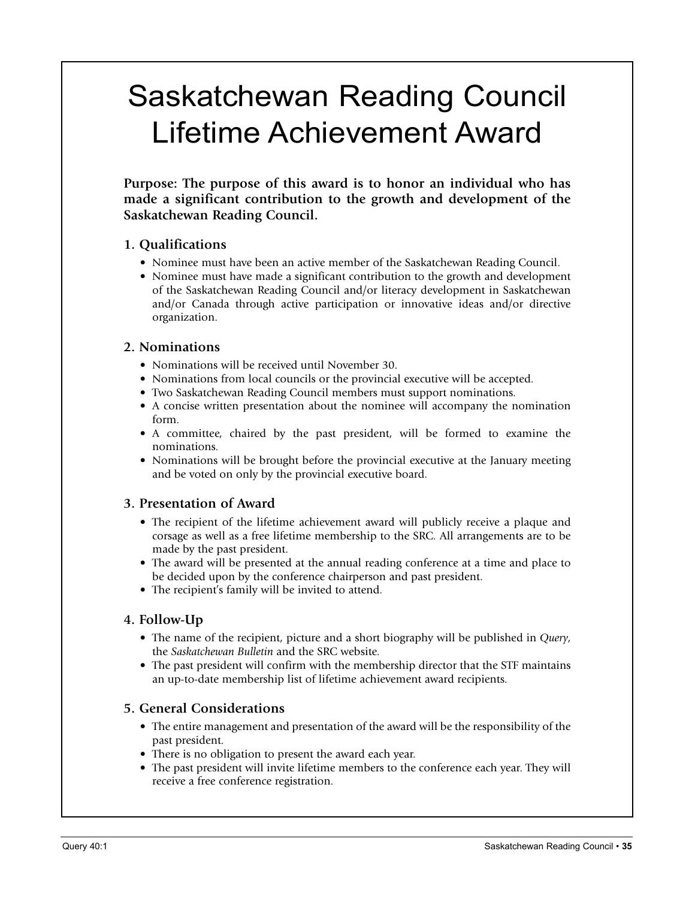## Saskatchewan Reading Council Lifetime Achievement Award

**Purpose: The purpose of this award is to honor an individual who has made a significant contribution to the growth and development of the Saskatchewan Reading Council.**

#### **1. Qualifications**

- Nominee must have been an active member of the Saskatchewan Reading Council.
- Nominee must have made a significant contribution to the growth and development of the Saskatchewan Reading Council and/or literacy development in Saskatchewan and/or Canada through active participation or innovative ideas and/or directive organization.

#### **2. Nominations**

- Nominations will be received until November 30.
- Nominations from local councils or the provincial executive will be accepted.
- Two Saskatchewan Reading Council members must support nominations.
- A concise written presentation about the nominee will accompany the nomination form.
- A committee, chaired by the past president, will be formed to examine the nominations.
- Nominations will be brought before the provincial executive at the January meeting and be voted on only by the provincial executive board.

#### **3. Presentation of Award**

- The recipient of the lifetime achievement award will publicly receive a plaque and corsage as well as a free lifetime membership to the SRC. All arrangements are to be made by the past president.
- The award will be presented at the annual reading conference at a time and place to be decided upon by the conference chairperson and past president.
- The recipient's family will be invited to attend.

#### **4. Follow-Up**

- The name of the recipient, picture and a short biography will be published in *Query*, the *Saskatchewan Bulletin* and the SRC website.
- The past president will confirm with the membership director that the STF maintains an up-to-date membership list of lifetime achievement award recipients.

#### **5. General Considerations**

- The entire management and presentation of the award will be the responsibility of the past president.
- There is no obligation to present the award each year.
- The past president will invite lifetime members to the conference each year. They will receive a free conference registration.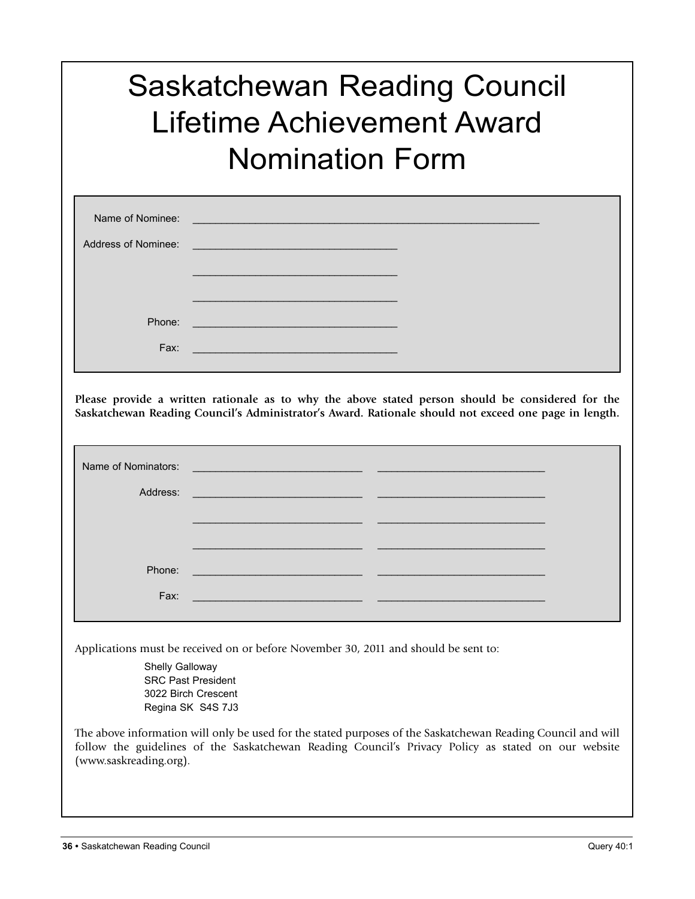## Saskatchewan Reading Council Lifetime Achievement Award Nomination Form

| Name of Nominee:    | <u> 1980 - Johann Stein, marwolaethau (b. 1980)</u>                                                                    |  |
|---------------------|------------------------------------------------------------------------------------------------------------------------|--|
| Address of Nominee: | <u> 1989 - Johann Stein, marwolaethau a bhann an t-Albann an t-Albann an t-Albann an t-Albann an t-Albann an t-Alb</u> |  |
|                     |                                                                                                                        |  |
|                     |                                                                                                                        |  |
| Phone:              |                                                                                                                        |  |
| Fax:                |                                                                                                                        |  |
|                     |                                                                                                                        |  |

**Please provide a written rationale as to why the above stated person should be considered for the Saskatchewan Reading Council's Administrator's Award. Rationale should not exceed one page in length.**

| Name of Nominators:                                                                 | <u> 1980 - Jan Samuel Barbara, martin da basar a shekara 1980 - An tsara 1980 - An tsara 1980 - An tsara 1980 - </u> |  |  |
|-------------------------------------------------------------------------------------|----------------------------------------------------------------------------------------------------------------------|--|--|
| Address:                                                                            | <u> 1990 - Johann Barnett, fransk politik (d. 1980)</u>                                                              |  |  |
|                                                                                     |                                                                                                                      |  |  |
|                                                                                     |                                                                                                                      |  |  |
| Phone:                                                                              | <u> 2000 - 2000 - 2000 - 2000 - 2000 - 2000 - 2000 - 2000 - 2000 - 2000 - 2000 - 2000 - 2000 - 2000 - 2000 - 200</u> |  |  |
| Fax:                                                                                | <u> 1990 - Johann Stoff, fransk politik (f. 1980)</u>                                                                |  |  |
|                                                                                     |                                                                                                                      |  |  |
| Applications must be received on or before November 30, 2011 and should be sent to: |                                                                                                                      |  |  |
| Shelly Galloway<br><b>SRC Past President</b><br>$0000$ Disab $O$ saaaat             |                                                                                                                      |  |  |

3022 Birch Crescent Regina SK S4S 7J3

The above information will only be used for the stated purposes of the Saskatchewan Reading Council and will follow the guidelines of the Saskatchewan Reading Council's Privacy Policy as stated on our website (www.saskreading.org).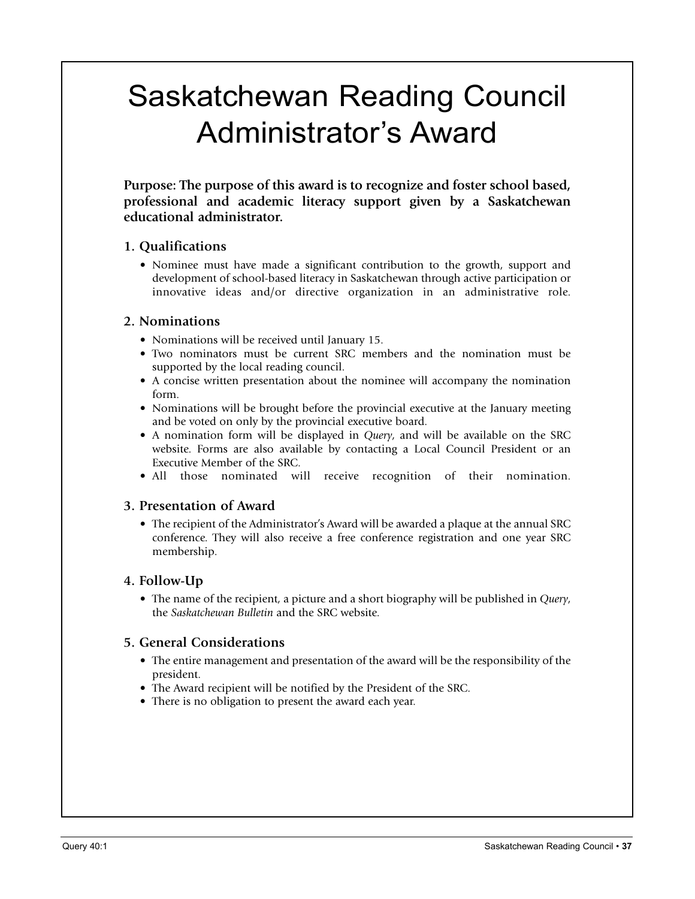## Saskatchewan Reading Council Administrator's Award

**Purpose: The purpose of this award is to recognize and foster school based, professional and academic literacy support given by a Saskatchewan educational administrator.**

#### **1. Qualifications**

• Nominee must have made a significant contribution to the growth, support and development of school-based literacy in Saskatchewan through active participation or innovative ideas and/or directive organization in an administrative role.

#### **2. Nominations**

- Nominations will be received until January 15.
- Two nominators must be current SRC members and the nomination must be supported by the local reading council.
- A concise written presentation about the nominee will accompany the nomination form.
- Nominations will be brought before the provincial executive at the January meeting and be voted on only by the provincial executive board.
- A nomination form will be displayed in *Query*, and will be available on the SRC website. Forms are also available by contacting a Local Council President or an Executive Member of the SRC.
- All those nominated will receive recognition of their nomination.

#### **3. Presentation of Award**

• The recipient of the Administrator's Award will be awarded a plaque at the annual SRC conference. They will also receive a free conference registration and one year SRC membership.

#### **4. Follow-Up**

• The name of the recipient, a picture and a short biography will be published in *Query*, the *Saskatchewan Bulletin* and the SRC website.

#### **5. General Considerations**

- The entire management and presentation of the award will be the responsibility of the president.
- The Award recipient will be notified by the President of the SRC.
- There is no obligation to present the award each year.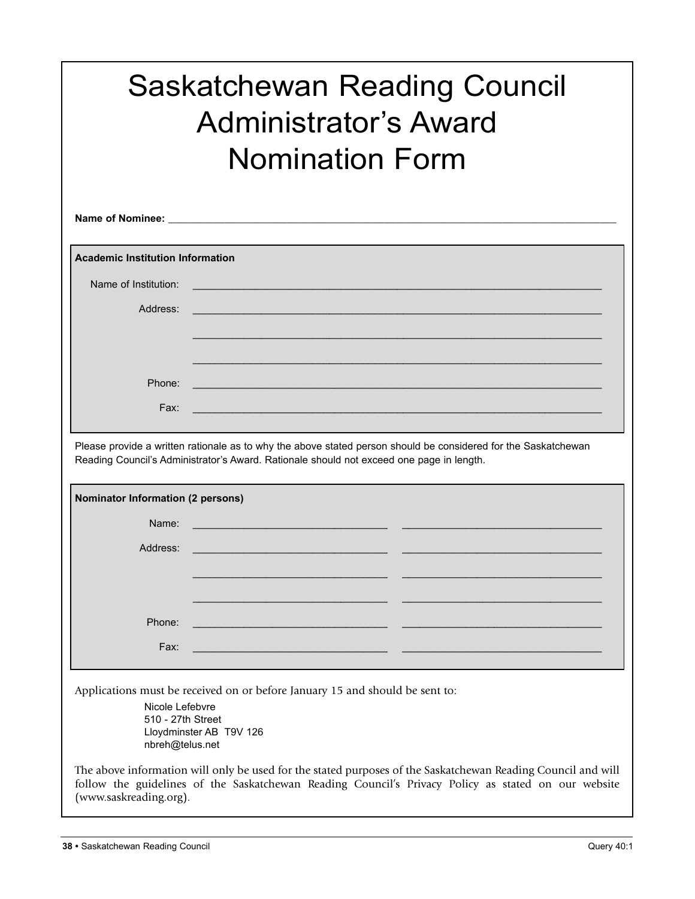| <b>Saskatchewan Reading Council</b><br><b>Administrator's Award</b><br><b>Nomination Form</b> |                                                                                                                                                                                                            |  |  |
|-----------------------------------------------------------------------------------------------|------------------------------------------------------------------------------------------------------------------------------------------------------------------------------------------------------------|--|--|
|                                                                                               |                                                                                                                                                                                                            |  |  |
| <b>Academic Institution Information</b>                                                       |                                                                                                                                                                                                            |  |  |
| Name of Institution:                                                                          |                                                                                                                                                                                                            |  |  |
| Address:                                                                                      |                                                                                                                                                                                                            |  |  |
|                                                                                               |                                                                                                                                                                                                            |  |  |
|                                                                                               |                                                                                                                                                                                                            |  |  |
| Phone:                                                                                        |                                                                                                                                                                                                            |  |  |
| Fax:                                                                                          |                                                                                                                                                                                                            |  |  |
|                                                                                               |                                                                                                                                                                                                            |  |  |
|                                                                                               | Please provide a written rationale as to why the above stated person should be considered for the Saskatchewan<br>Reading Council's Administrator's Award. Rationale should not exceed one page in length. |  |  |
| Nominator Information (2 persons)                                                             |                                                                                                                                                                                                            |  |  |
| Name:                                                                                         |                                                                                                                                                                                                            |  |  |
| Address:                                                                                      |                                                                                                                                                                                                            |  |  |
|                                                                                               |                                                                                                                                                                                                            |  |  |
|                                                                                               |                                                                                                                                                                                                            |  |  |
| Phone:                                                                                        |                                                                                                                                                                                                            |  |  |
|                                                                                               |                                                                                                                                                                                                            |  |  |
| Fax:                                                                                          |                                                                                                                                                                                                            |  |  |
| Nicole Lefebvre<br>510 - 27th Street<br>nbreh@telus.net                                       | Applications must be received on or before January 15 and should be sent to:<br>Lloydminster AB T9V 126                                                                                                    |  |  |

The above information will only be used for the stated purposes of the Saskatchewan Reading Council and will follow the guidelines of the Saskatchewan Reading Council's Privacy Policy as stated on our website (www.saskreading.org).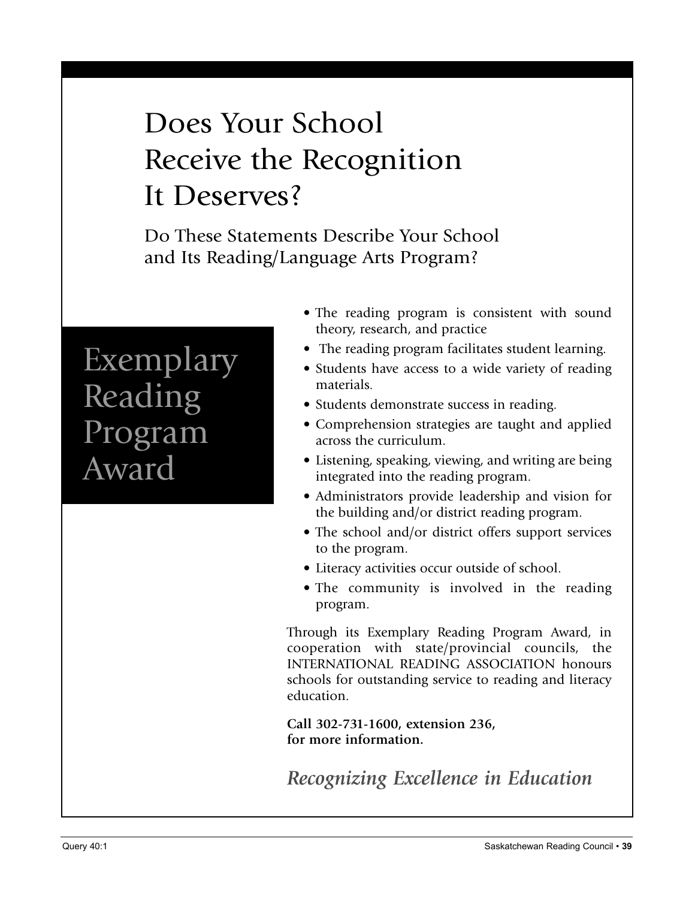## Does Your School Receive the Recognition It Deserves?

Do These Statements Describe Your School and Its Reading/Language Arts Program?

## Exemplary Reading Program Award

- The reading program is consistent with sound theory, research, and practice
- The reading program facilitates student learning.
- Students have access to a wide variety of reading materials.
- Students demonstrate success in reading.
- Comprehension strategies are taught and applied across the curriculum.
- Listening, speaking, viewing, and writing are being integrated into the reading program.
- Administrators provide leadership and vision for the building and/or district reading program.
- The school and/or district offers support services to the program.
- Literacy activities occur outside of school.
- The community is involved in the reading program.

Through its Exemplary Reading Program Award, in cooperation with state/provincial councils, the INTERNATIONAL READING ASSOCIATION honours schools for outstanding service to reading and literacy education.

**Call 302-731-1600, extension 236, for more information.**

*Recognizing Excellence in Education*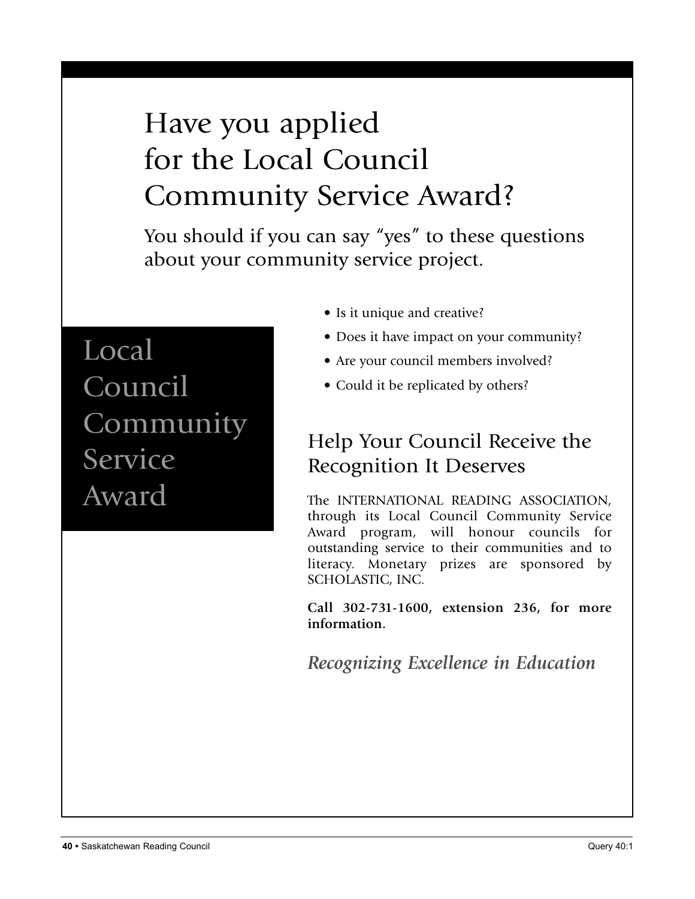## Have you applied for the Local Council Community Service Award?

You should if you can say "yes" to these questions about your community service project.

## Local Council Community Service Award

- Is it unique and creative?
- Does it have impact on your community?
- Are your council members involved?
- Could it be replicated by others?

## Help Your Council Receive the Recognition It Deserves

The INTERNATIONAL READING ASSOCIATION, through its Local Council Community Service Award program, will honour councils for outstanding service to their communities and to literacy. Monetary prizes are sponsored by SCHOLASTIC, INC.

**Call 302-731-1600, extension 236, for more information.**

*Recognizing Excellence in Education*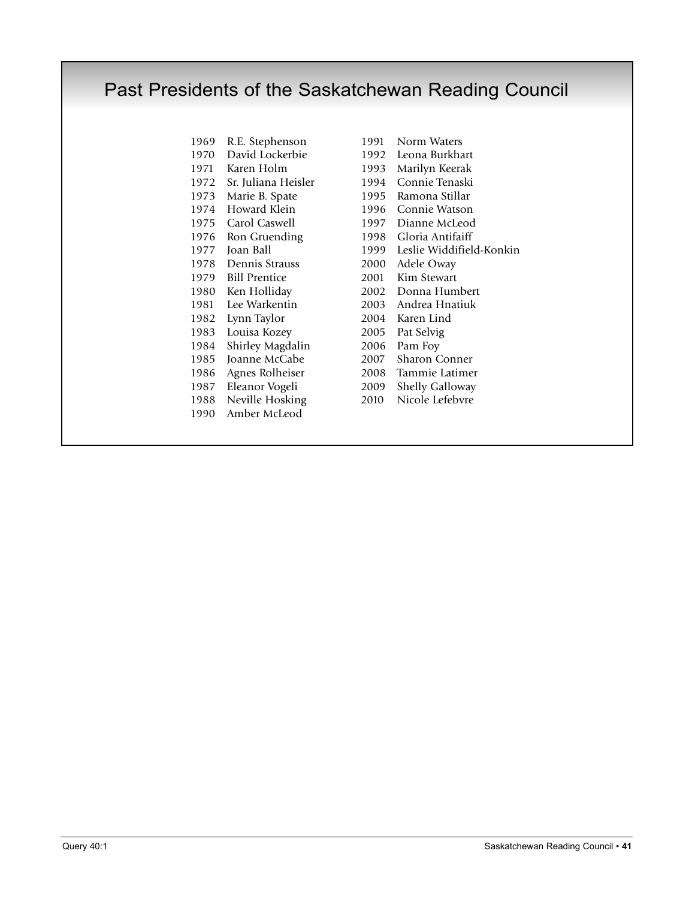### Past Presidents of the Saskatchewan Reading Council

- R.E. Stephenson 1991 Norm Waters David Lockerbie 1992 Leona Burkhart Karen Holm 1993 Marilyn Keerak Sr. Juliana Heisler 1994 Connie Tenaski Marie B. Spate 1995 Ramona Stillar Howard Klein 1996 Connie Watson Carol Caswell 1997 Dianne McLeod Ron Gruending 1998 Gloria Antifaiff 1978 Dennis Strauss Bill Prentice 2001 Kim Stewart Ken Holliday 2002 Donna Humbert Lee Warkentin 2003 Andrea Hnatiuk Lynn Taylor 2004 Karen Lind Louisa Kozey 2005 Pat Selvig Shirley Magdalin 2006 Pam Foy Joanne McCabe 2007 Sharon Conner Agnes Rolheiser 2008 Tammie Latimer 1987 Eleanor Vogeli 2009 Shelly Galloway<br>1988 Neville Hosking 2010 Nicole Lefebvre 1988 Neville Hosking 2010 Amber McLeod
- 1977 Joan Ball 1999 Leslie Widdifield-Konkin<br>1978 Dennis Strauss 2000 Adele Oway